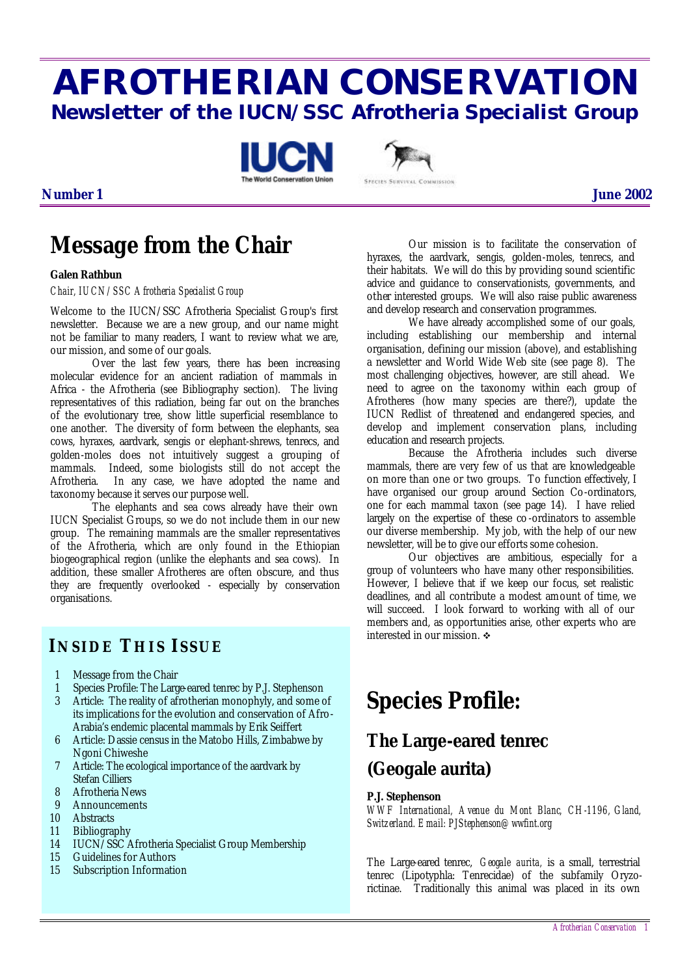# **AFROTHERIAN CONSERVATION Newsletter of the IUCN/SSC Afrotheria Specialist Group**





### **Number 1 June 2002**

## **Message from the Chair**

#### **Galen Rathbun**

#### *Chair, IUCN/SSC Afrotheria Specialist Group*

Welcome to the IUCN/SSC Afrotheria Specialist Group's first newsletter. Because we are a new group, and our name might not be familiar to many readers, I want to review what we are, our mission, and some of our goals.

Over the last few years, there has been increasing molecular evidence for an ancient radiation of mammals in Africa - the Afrotheria (see Bibliography section). The living representatives of this radiation, being far out on the branches of the evolutionary tree, show little superficial resemblance to one another. The diversity of form between the elephants, sea cows, hyraxes, aardvark, sengis or elephant-shrews, tenrecs, and golden-moles does not intuitively suggest a grouping of mammals. Indeed, some biologists still do not accept the Afrotheria. In any case, we have adopted the name and taxonomy because it serves our purpose well.

The elephants and sea cows already have their own IUCN Specialist Groups, so we do not include them in our new group. The remaining mammals are the smaller representatives of the Afrotheria, which are only found in the Ethiopian biogeographical region (unlike the elephants and sea cows). In addition, these smaller Afrotheres are often obscure, and thus they are frequently overlooked - especially by conservation organisations.

### **INSIDE THIS ISSUE**

- 1 Message from the Chair
- 1 Species Profile: The Large-eared tenrec by P.J. Stephenson
- 3 Article: The reality of afrotherian monophyly, and some of its implications for the evolution and conservation of Afro-Arabia's endemic placental mammals by Erik Seiffert
- 6 Article: Dassie census in the Matobo Hills, Zimbabwe by Ngoni Chiweshe
- 7 Article: The ecological importance of the aardvark by Stefan Cilliers
- 8 Afrotheria News
- 9 Announcements
- 10 Abstracts
- 11 Bibliography
- 14 IUCN/SSC Afrotheria Specialist Group Membership
- 15 Guidelines for Authors
- 15 Subscription Information

Our mission is to facilitate the conservation of hyraxes, the aardvark, sengis, golden-moles, tenrecs, and their habitats. We will do this by providing sound scientific advice and guidance to conservationists, governments, and other interested groups. We will also raise public awareness and develop research and conservation programmes.

We have already accomplished some of our goals, including establishing our membership and internal organisation, defining our mission (above), and establishing a newsletter and World Wide Web site (see page 8). The most challenging objectives, however, are still ahead. We need to agree on the taxonomy within each group of Afrotheres (how many species are there?), update the IUCN Redlist of threatened and endangered species, and develop and implement conservation plans, including education and research projects.

Because the Afrotheria includes such diverse mammals, there are very few of us that are knowledgeable on more than one or two groups. To function effectively, I have organised our group around Section Co-ordinators, one for each mammal taxon (see page 14). I have relied largely on the expertise of these co -ordinators to assemble our diverse membership. My job, with the help of our new newsletter, will be to give our efforts some cohesion.

Our objectives are ambitious, especially for a group of volunteers who have many other responsibilities. However, I believe that if we keep our focus, set realistic deadlines, and all contribute a modest amount of time, we will succeed. I look forward to working with all of our members and, as opportunities arise, other experts who are interested in our mission.  $\div$ 

## **Species Profile:**

## **The Large-eared tenrec (***Geogale aurita***)**

#### **P.J. Stephenson**

*WWF International, Avenue du Mont Blanc, CH-1196, Gland, Switzerland. Email: PJStephenson@wwfint.org*

The Large-eared tenrec, *Geogale aurita,* is a small, terrestrial tenrec (Lipotyphla: Tenrecidae) of the subfamily Oryzorictinae. Traditionally this animal was placed in its own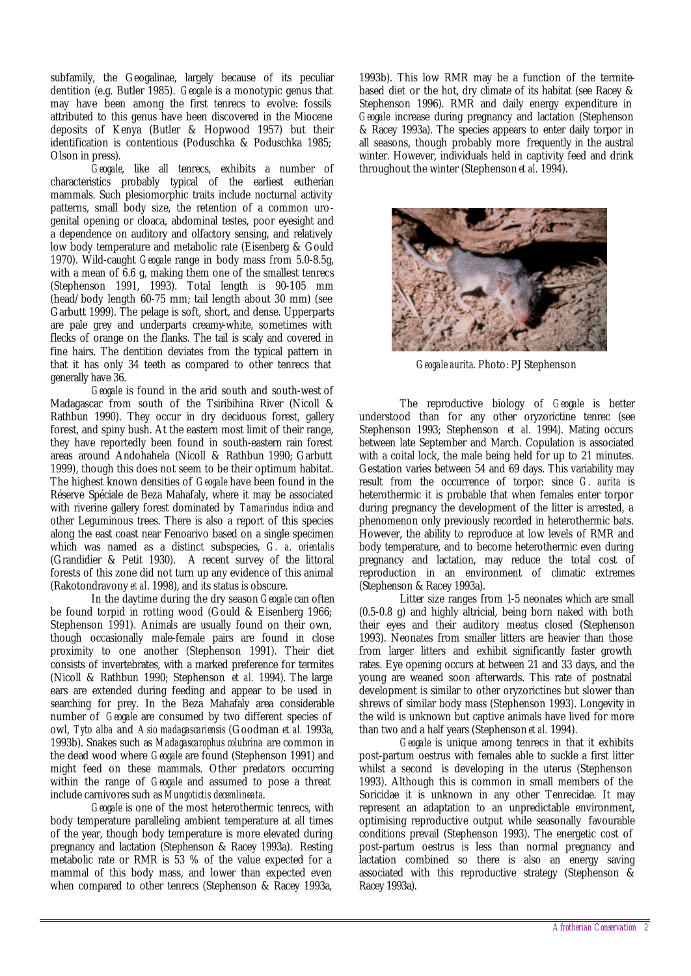subfamily, the Geogalinae, largely because of its peculiar dentition (e.g. Butler 1985). *Geogale* is a monotypic genus that may have been among the first tenrecs to evolve: fossils attributed to this genus have been discovered in the Miocene deposits of Kenya (Butler & Hopwood 1957) but their identification is contentious (Poduschka & Poduschka 1985; Olson in press).

*Geogale*, like all tenrecs, exhibits a number of characteristics probably typical of the earliest eutherian mammals. Such plesiomorphic traits include nocturnal activity patterns, small body size, the retention of a common urogenital opening or cloaca, abdominal testes, poor eyesight and a dependence on auditory and olfactory sensing, and relatively low body temperature and metabolic rate (Eisenberg & Gould 1970). Wild-caught *Geogale* range in body mass from 5.0-8.5g, with a mean of  $6.6$  g, making them one of the smallest tenrecs (Stephenson 1991, 1993). Total length is 90-105 mm (head/body length 60-75 mm; tail length about 30 mm) (see Garbutt 1999). The pelage is soft, short, and dense. Upperparts are pale grey and underparts creamy-white, sometimes with flecks of orange on the flanks. The tail is scaly and covered in fine hairs. The dentition deviates from the typical pattern in that it has only 34 teeth as compared to other tenrecs that generally have 36.

*Geogale* is found in the arid south and south-west of Madagascar from south of the Tsiribihina River (Nicoll & Rathbun 1990). They occur in dry deciduous forest, gallery forest, and spiny bush. At the eastern most limit of their range, they have reportedly been found in south-eastern rain forest areas around Andohahela (Nicoll & Rathbun 1990; Garbutt 1999), though this does not seem to be their optimum habitat. The highest known densities of *Geogale* have been found in the Réserve Spéciale de Beza Mahafaly, where it may be associated with riverine gallery forest dominated by *Tamarindus indica* and other Leguminous trees. There is also a report of this species along the east coast near Fenoarivo based on a single specimen which was named as a distinct subspecies, *G. a. orientalis* (Grandidier & Petit 1930). A recent survey of the littoral forests of this zone did not turn up any evidence of this animal (Rakotondravony *et al*. 1998), and its status is obscure.

In the daytime during the dry season *Geogale* can often be found torpid in rotting wood (Gould & Eisenberg 1966; Stephenson 1991). Animals are usually found on their own, though occasionally male-female pairs are found in close proximity to one another (Stephenson 1991). Their diet consists of invertebrates, with a marked preference for termites (Nicoll & Rathbun 1990; Stephenson *et al.* 1994). The large ears are extended during feeding and appear to be used in searching for prey. In the Beza Mahafaly area considerable number of *Geogale* are consumed by two different species of owl, *Tyto alba* and *Asio madagascariensis* (Goodman *et al.* 1993a, 1993b). Snakes such as *Madagascarophus colubrina* are common in the dead wood where *Geogale* are found (Stephenson 1991) and might feed on these mammals. Other predators occurring within the range of *Geogale* and assumed to pose a threat include carnivores such as *Mungotictis decemlineata*.

*Geogale* is one of the most heterothermic tenrecs, with body temperature paralleling ambient temperature at all times of the year, though body temperature is more elevated during pregnancy and lactation (Stephenson & Racey 1993a). Resting metabolic rate or RMR is 53 % of the value expected for a mammal of this body mass, and lower than expected even when compared to other tenrecs (Stephenson & Racey 1993a,

1993b). This low RMR may be a function of the termitebased diet or the hot, dry climate of its habitat (see Racey & Stephenson 1996). RMR and daily energy expenditure in *Geogale* increase during pregnancy and lactation (Stephenson & Racey 1993a). The species appears to enter daily torpor in all seasons, though probably more frequently in the austral winter. However, individuals held in captivity feed and drink throughout the winter (Stephenson *et al.* 1994).



*Geogale aurita*. Photo: PJ Stephenson

The reproductive biology of *Geogale* is better understood than for any other oryzorictine tenrec (see Stephenson 1993; Stephenson *et al.* 1994). Mating occurs between late September and March. Copulation is associated with a coital lock, the male being held for up to 21 minutes. Gestation varies between 54 and 69 days. This variability may result from the occurrence of torpor: since *G. aurita* is heterothermic it is probable that when females enter torpor during pregnancy the development of the litter is arrested, a phenomenon only previously recorded in heterothermic bats. However, the ability to reproduce at low levels of RMR and body temperature, and to become heterothermic even during pregnancy and lactation, may reduce the total cost of reproduction in an environment of climatic extremes (Stephenson & Racey 1993a).

Litter size ranges from 1-5 neonates which are small (0.5-0.8 g) and highly altricial, being born naked with both their eyes and their auditory meatus closed (Stephenson 1993). Neonates from smaller litters are heavier than those from larger litters and exhibit significantly faster growth rates. Eye opening occurs at between 21 and 33 days, and the young are weaned soon afterwards. This rate of postnatal development is similar to other oryzorictines but slower than shrews of similar body mass (Stephenson 1993). Longevity in the wild is unknown but captive animals have lived for more than two and a half years (Stephenson *et al.* 1994).

*Geogale* is unique among tenrecs in that it exhibits post-partum oestrus with females able to suckle a first litter whilst a second is developing in the uterus (Stephenson 1993). Although this is common in small members of the Soricidae it is unknown in any other Tenrecidae. It may represent an adaptation to an unpredictable environment, optimising reproductive output while seasonally favourable conditions prevail (Stephenson 1993). The energetic cost of post-partum oestrus is less than normal pregnancy and lactation combined so there is also an energy saving associated with this reproductive strategy (Stephenson & Racey 1993a).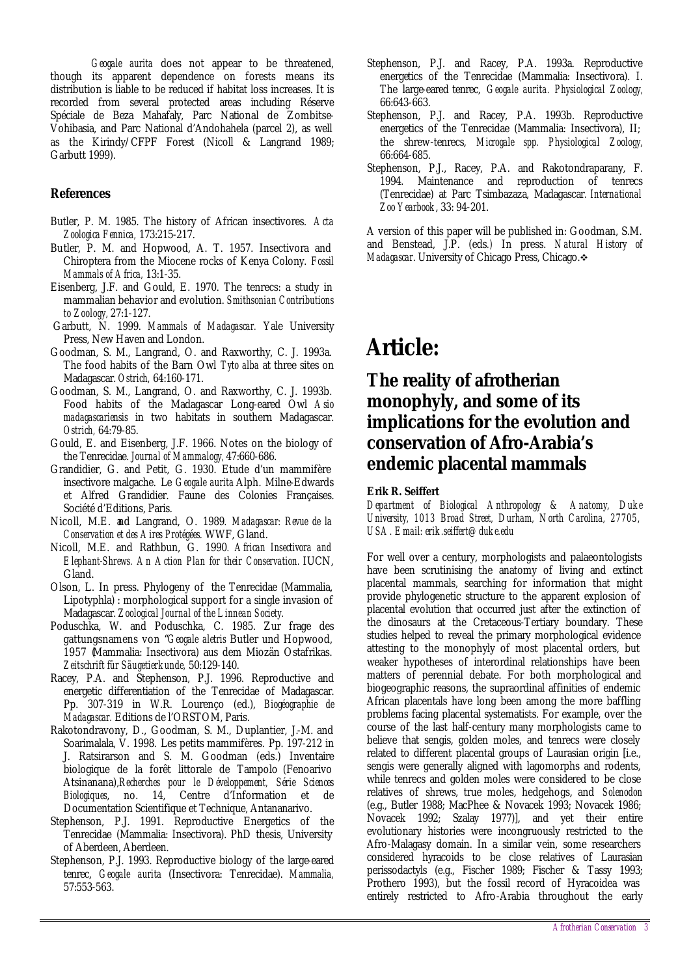*Geogale aurita* does not appear to be threatened, though its apparent dependence on forests means its distribution is liable to be reduced if habitat loss increases. It is recorded from several protected areas including Réserve Spéciale de Beza Mahafaly, Parc National de Zombitse-Vohibasia, and Parc National d'Andohahela (parcel 2), as well as the Kirindy/CFPF Forest (Nicoll & Langrand 1989; Garbutt 1999).

### **References**

- Butler, P. M. 1985. The history of African insectivores. *Acta Zoologica Fennica,* 173:215-217.
- Butler, P. M. and Hopwood, A. T. 1957. Insectivora and Chiroptera from the Miocene rocks of Kenya Colony. *Fossil Mammals of Africa,* 13:1-35.
- Eisenberg, J.F. and Gould, E. 1970. The tenrecs: a study in mammalian behavior and evolution. *Smithsonian Contributions to Zoology,* 27:1-127.
- Garbutt, N. 1999. *Mammals of Madagascar.* Yale University Press, New Haven and London.
- Goodman, S. M., Langrand, O. and Raxworthy, C. J. 1993a. The food habits of the Barn Owl *Tyto alba* at three sites on Madagascar. *Ostrich,* 64:160-171.
- Goodman, S. M., Langrand, O. and Raxworthy, C. J. 1993b. Food habits of the Madagascar Long-eared Owl *Asio madagascariensis* in two habitats in southern Madagascar. *Ostrich,* 64:79-85.
- Gould, E. and Eisenberg, J.F. 1966. Notes on the biology of the Tenrecidae. *Journal of Mammalogy,* 47:660-686.
- Grandidier, G. and Petit, G. 1930. Etude d'un mammifère insectivore malgache. Le *Geogale aurita* Alph. Milne-Edwards et Alfred Grandidier. Faune des Colonies Françaises. Société d'Editions, Paris.
- Nicoll, M.E. and Langrand, O. 1989*. Madagascar: Revue de la Conservation et des Aires Protégées.* WWF, Gland.
- Nicoll, M.E. and Rathbun, G. 1990*. African Insectivora and Elephant-Shrews. An Action Plan for their Conservation.* IUCN, Gland.
- Olson, L. In press. Phylogeny of the Tenrecidae (Mammalia, Lipotyphla) : morphological support for a single invasion of Madagascar. *Zoological Journal of the Linnean Society.*
- Poduschka, W. and Poduschka, C. 1985. Zur frage des gattungsnamens von "*Geogale aletris* Butler und Hopwood, 1957 (Mammalia: Insectivora) aus dem Miozän Ostafrikas. *Zeitschrift für Säugetierkunde,* 50:129-140.
- Racey, P.A. and Stephenson, P.J. 1996. Reproductive and energetic differentiation of the Tenrecidae of Madagascar. Pp. 307-319 in W.R. Lourenço (ed.), *Biogéographie de Madagascar.* Editions de l'ORSTOM, Paris.
- Rakotondravony, D., Goodman, S. M., Duplantier, J.-M. and Soarimalala, V. 1998. Les petits mammifères. Pp. 197-212 in J. Ratsirarson and S. M. Goodman (eds.) Inventaire biologique de la forêt littorale de Tampolo (Fenoarivo Atsinanana),*Recherches pour le Développement, Série Sciences Biologiques*, no. 14, Centre d'Information et de Documentation Scientifique et Technique, Antananarivo.
- Stephenson, P.J. 1991. Reproductive Energetics of the Tenrecidae (Mammalia: Insectivora). PhD thesis, University of Aberdeen, Aberdeen.
- Stephenson, P.J. 1993. Reproductive biology of the large-eared tenrec, *Geogale aurita* (Insectivora: Tenrecidae). *Mammalia,* 57:553-563.
- Stephenson, P.J. and Racey, P.A. 1993a. Reproductive energetics of the Tenrecidae (Mammalia: Insectivora). I. The large-eared tenrec, *Geogale aurita. Physiological Zoology,* 66:643-663.
- Stephenson, P.J. and Racey, P.A. 1993b. Reproductive energetics of the Tenrecidae (Mammalia: Insectivora), II; the shrew-tenrecs, *Microgale spp. Physiological Zoology,* 66:664-685.
- Stephenson, P.J., Racey, P.A. and Rakotondraparany, F. 1994. Maintenance and reproduction of tenrecs (Tenrecidae) at Parc Tsimbazaza, Madagascar*. International Zoo Yearbook*, 33: 94-201.

A version of this paper will be published in: Goodman, S.M. and Benstead, J.P. (eds*.)* In press. *Natural History of Madagascar*. University of Chicago Press, Chicago.  $\diamond$ 

## **Article:**

### **The reality of afrotherian monophyly, and some of its implications for the evolution and conservation of Afro-Arabia's endemic placental mammals**

#### **Erik R. Seiffert**

*Department of Biological Anthropology & Anatomy, Duke University, 1013 Broad Street, Durham, North Carolina, 27705, USA. Email: erik.seiffert@duke.edu*

For well over a century, morphologists and palaeontologists have been scrutinising the anatomy of living and extinct placental mammals, searching for information that might provide phylogenetic structure to the apparent explosion of placental evolution that occurred just after the extinction of the dinosaurs at the Cretaceous-Tertiary boundary. These studies helped to reveal the primary morphological evidence attesting to the monophyly of most placental orders, but weaker hypotheses of interordinal relationships have been matters of perennial debate. For both morphological and biogeographic reasons, the supraordinal affinities of endemic African placentals have long been among the more baffling problems facing placental systematists. For example, over the course of the last half-century many morphologists came to believe that sengis, golden moles, and tenrecs were closely related to different placental groups of Laurasian origin [i.e., sengis were generally aligned with lagomorphs and rodents, while tenrecs and golden moles were considered to be close relatives of shrews, true moles, hedgehogs, and *Solenodon* (e.g., Butler 1988; MacPhee & Novacek 1993; Novacek 1986; Novacek 1992; Szalay 1977)], and yet their entire evolutionary histories were incongruously restricted to the Afro-Malagasy domain. In a similar vein, some researchers considered hyracoids to be close relatives of Laurasian perissodactyls (e.g., Fischer 1989; Fischer & Tassy 1993; Prothero 1993), but the fossil record of Hyracoidea was entirely restricted to Afro-Arabia throughout the early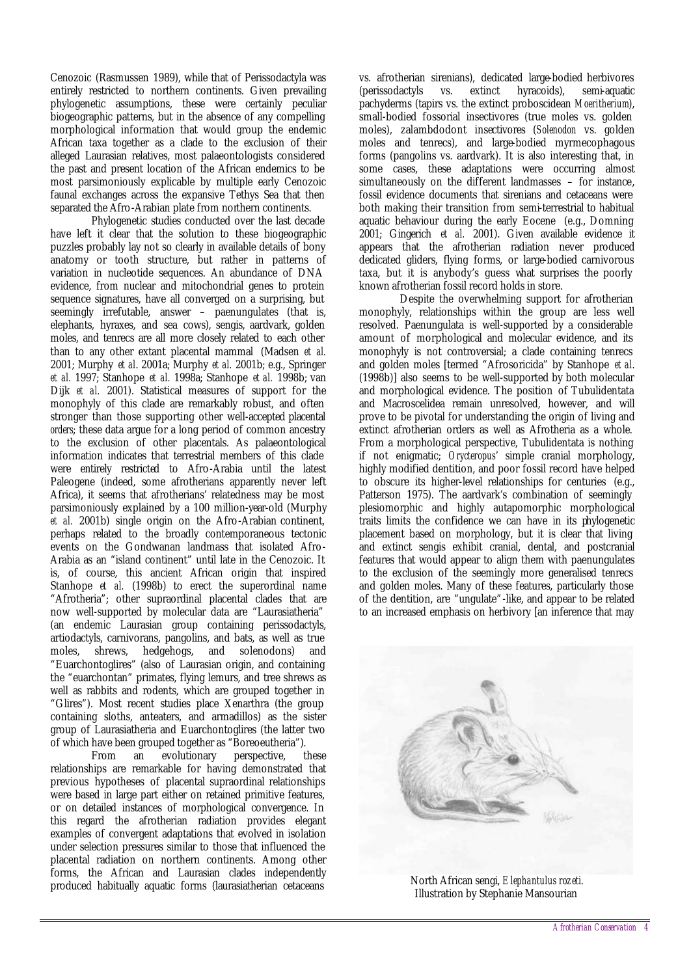Cenozoic (Rasmussen 1989), while that of Perissodactyla was entirely restricted to northern continents. Given prevailing phylogenetic assumptions, these were certainly peculiar biogeographic patterns, but in the absence of any compelling morphological information that would group the endemic African taxa together as a clade to the exclusion of their alleged Laurasian relatives, most palaeontologists considered the past and present location of the African endemics to be most parsimoniously explicable by multiple early Cenozoic faunal exchanges across the expansive Tethys Sea that then separated the Afro-Arabian plate from northern continents.

Phylogenetic studies conducted over the last decade have left it clear that the solution to these biogeographic puzzles probably lay not so clearly in available details of bony anatomy or tooth structure, but rather in patterns of variation in nucleotide sequences. An abundance of DNA evidence, from nuclear and mitochondrial genes to protein sequence signatures, have all converged on a surprising, but seemingly irrefutable, answer – paenungulates (that is, elephants, hyraxes, and sea cows), sengis, aardvark, golden moles, and tenrecs are all more closely related to each other than to any other extant placental mammal (Madsen *et al.* 2001; Murphy *et al*. 2001a; Murphy *et al.* 2001b; e.g., Springer *et al.* 1997; Stanhope *et al.* 1998a; Stanhope *et al.* 1998b; van Dijk *et al.* 2001). Statistical measures of support for the monophyly of this clade are remarkably robust, and often stronger than those supporting other well-accepted placental *orders*; these data argue for a long period of common ancestry to the exclusion of other placentals. As palaeontological information indicates that terrestrial members of this clade were entirely restricted to Afro-Arabia until the latest Paleogene (indeed, some afrotherians apparently never left Africa), it seems that afrotherians' relatedness may be most parsimoniously explained by a 100 million-year-old (Murphy *et al.* 2001b) single origin on the Afro-Arabian continent, perhaps related to the broadly contemporaneous tectonic events on the Gondwanan landmass that isolated Afro-Arabia as an "island continent" until late in the Cenozoic. It is, of course, this ancient African origin that inspired Stanhope *et al.* (1998b) to erect the superordinal name "Afrotheria"; other supraordinal placental clades that are now well-supported by molecular data are "Laurasiatheria" (an endemic Laurasian group containing perissodactyls, artiodactyls, carnivorans, pangolins, and bats, as well as true moles, shrews, hedgehogs, and solenodons) and "Euarchontoglires" (also of Laurasian origin, and containing the "euarchontan" primates, flying lemurs, and tree shrews as well as rabbits and rodents, which are grouped together in "Glires"). Most recent studies place Xenarthra (the group containing sloths, anteaters, and armadillos) as the sister group of Laurasiatheria and Euarchontoglires (the latter two of which have been grouped together as "Boreoeutheria").

From an evolutionary perspective, these relationships are remarkable for having demonstrated that previous hypotheses of placental supraordinal relationships were based in large part either on retained primitive features, or on detailed instances of morphological convergence. In this regard the afrotherian radiation provides elegant examples of convergent adaptations that evolved in isolation under selection pressures similar to those that influenced the placental radiation on northern continents. Among other forms, the African and Laurasian clades independently produced habitually aquatic forms (laurasiatherian cetaceans

vs. afrotherian sirenians), dedicated large-bodied herbivores (perissodactyls vs. extinct hyracoids), semi-aquatic pachyderms (tapirs vs. the extinct proboscidean *Moeritherium*), small-bodied fossorial insectivores (true moles vs. golden moles), zalambdodont insectivores (*Solenodon* vs. golden moles and tenrecs), and large-bodied myrmecophagous forms (pangolins vs. aardvark). It is also interesting that, in some cases, these adaptations were occurring almost simultaneously on the different landmasses – for instance, fossil evidence documents that sirenians and cetaceans were both making their transition from semi-terrestrial to habitual aquatic behaviour during the early Eocene (e.g., Domning 2001; Gingerich *et al.* 2001). Given available evidence it appears that the afrotherian radiation never produced dedicated gliders, flying forms, or large-bodied carnivorous taxa, but it is anybody's guess what surprises the poorly known afrotherian fossil record holds in store.

Despite the overwhelming support for afrotherian monophyly, relationships within the group are less well resolved. Paenungulata is well-supported by a considerable amount of morphological and molecular evidence, and its monophyly is not controversial; a clade containing tenrecs and golden moles [termed "Afrosoricida" by Stanhope *et al*. (1998b)] also seems to be well-supported by both molecular and morphological evidence. The position of Tubulidentata and Macroscelidea remain unresolved, however, and will prove to be pivotal for understanding the origin of living and extinct afrotherian orders as well as Afrotheria as a whole. From a morphological perspective, Tubulidentata is nothing if not enigmatic; *Orycteropus*' simple cranial morphology, highly modified dentition, and poor fossil record have helped to obscure its higher-level relationships for centuries (e.g., Patterson 1975). The aardvark's combination of seemingly plesiomorphic and highly autapomorphic morphological traits limits the confidence we can have in its phylogenetic placement based on morphology, but it is clear that living and extinct sengis exhibit cranial, dental, and postcranial features that would appear to align them with paenungulates to the exclusion of the seemingly more generalised tenrecs and golden moles. Many of these features, particularly those of the dentition, are "ungulate"-like, and appear to be related to an increased emphasis on herbivory [an inference that may



North African sengi, *Elephantulus rozeti*. Illustration by Stephanie Mansourian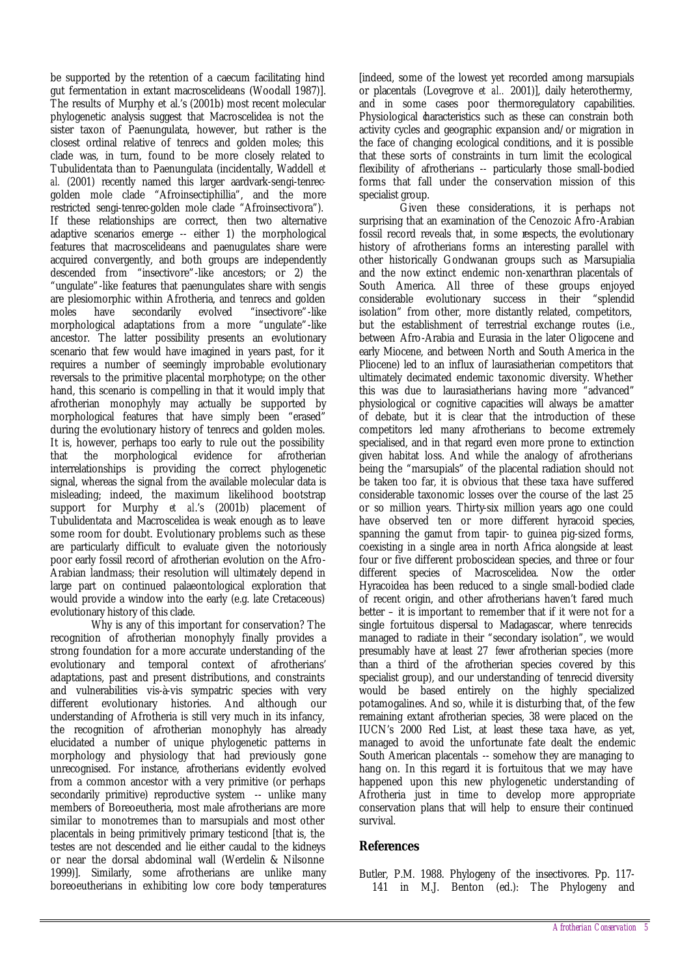be supported by the retention of a caecum facilitating hind gut fermentation in extant macroscelideans (Woodall 1987)]. The results of Murphy et al.'s (2001b) most recent molecular phylogenetic analysis suggest that Macroscelidea is not the sister taxon of Paenungulata, however, but rather is the closest ordinal relative of tenrecs and golden moles; this clade was, in turn, found to be more closely related to Tubulidentata than to Paenungulata (incidentally, Waddell *et al.* (2001) recently named this larger aardvark-sengi-tenrecgolden mole clade "Afroinsectiphillia", and the more restricted sengi-tenrec-golden mole clade "Afroinsectivora"). If these relationships are correct, then two alternative adaptive scenarios emerge -- either 1) the morphological features that macroscelideans and paenugulates share were acquired convergently, and both groups are independently descended from "insectivore"-like ancestors; or 2) the "ungulate"-like features that paenungulates share with sengis are plesiomorphic within Afrotheria, and tenrecs and golden moles have secondarily evolved "insectivore"-like morphological adaptations from a more "ungulate"-like ancestor. The latter possibility presents an evolutionary scenario that few would have imagined in years past, for it requires a number of seemingly improbable evolutionary reversals to the primitive placental morphotype; on the other hand, this scenario is compelling in that it would imply that afrotherian monophyly may actually be supported by morphological features that have simply been "erased" during the evolutionary history of tenrecs and golden moles. It is, however, perhaps too early to rule out the possibility that the morphological evidence for afrotherian interrelationships is providing the correct phylogenetic signal, whereas the signal from the available molecular data is misleading; indeed, the maximum likelihood bootstrap support for Murphy *et al*.'s (2001b) placement of Tubulidentata and Macroscelidea is weak enough as to leave some room for doubt. Evolutionary problems such as these are particularly difficult to evaluate given the notoriously poor early fossil record of afrotherian evolution on the Afro-Arabian landmass; their resolution will ultimately depend in large part on continued palaeontological exploration that would provide a window into the early (e.g. late Cretaceous) evolutionary history of this clade.

Why is any of this important for conservation? The recognition of afrotherian monophyly finally provides a strong foundation for a more accurate understanding of the evolutionary and temporal context of afrotherians' adaptations, past and present distributions, and constraints and vulnerabilities vis-à-vis sympatric species with very different evolutionary histories. And although our understanding of Afrotheria is still very much in its infancy, the recognition of afrotherian monophyly has already elucidated a number of unique phylogenetic patterns in morphology and physiology that had previously gone unrecognised. For instance, afrotherians evidently evolved from a common ancestor with a very primitive (or perhaps secondarily primitive) reproductive system -- unlike many members of Boreoeutheria, most male afrotherians are more similar to monotremes than to marsupials and most other placentals in being primitively primary testicond [that is, the testes are not descended and lie either caudal to the kidneys or near the dorsal abdominal wall (Werdelin & Nilsonne 1999)]. Similarly, some afrotherians are unlike many boreoeutherians in exhibiting low core body temperatures [indeed, some of the lowest yet recorded among marsupials or placentals (Lovegrove *et al..* 2001)], daily heterothermy, and in some cases poor thermoregulatory capabilities. Physiological daracteristics such as these can constrain both activity cycles and geographic expansion and/or migration in the face of changing ecological conditions, and it is possible that these sorts of constraints in turn limit the ecological flexibility of afrotherians -- particularly those small-bodied forms that fall under the conservation mission of this specialist group.

Given these considerations, it is perhaps not surprising that an examination of the Cenozoic Afro-Arabian fossil record reveals that, in some respects, the evolutionary history of afrotherians forms an interesting parallel with other historically Gondwanan groups such as Marsupialia and the now extinct endemic non-xenarthran placentals of South America. All three of these groups enjoyed considerable evolutionary success in their "splendid isolation" from other, more distantly related, competitors, but the establishment of terrestrial exchange routes (i.e., between Afro-Arabia and Eurasia in the later Oligocene and early Miocene, and between North and South America in the Pliocene) led to an influx of laurasiatherian competitors that ultimately decimated endemic taxonomic diversity. Whether this was due to laurasiatherians having more "advanced" physiological or cognitive capacities will always be a matter of debate, but it is clear that the introduction of these competitors led many afrotherians to become extremely specialised, and in that regard even more prone to extinction given habitat loss. And while the analogy of afrotherians being the "marsupials" of the placental radiation should not be taken too far, it is obvious that these taxa have suffered considerable taxonomic losses over the course of the last 25 or so million years. Thirty-six million years ago one could have observed ten or more different hyracoid species, spanning the gamut from tapir- to guinea pig-sized forms, coexisting in a single area in north Africa alongside at least four or five different proboscidean species, and three or four different species of Macroscelidea. Now the order Hyracoidea has been reduced to a single small-bodied clade of recent origin, and other afrotherians haven't fared much better – it is important to remember that if it were not for a single fortuitous dispersal to Madagascar, where tenrecids managed to radiate in their "secondary isolation", we would presumably have at least 27 *fewer* afrotherian species (more than a third of the afrotherian species covered by this specialist group), and our understanding of tenrecid diversity would be based entirely on the highly specialized potamogalines. And so, while it is disturbing that, of the few remaining extant afrotherian species, 38 were placed on the IUCN's 2000 Red List, at least these taxa have, as yet, managed to avoid the unfortunate fate dealt the endemic South American placentals -- somehow they are managing to hang on. In this regard it is fortuitous that we may have happened upon this new phylogenetic understanding of Afrotheria just in time to develop more appropriate conservation plans that will help to ensure their continued survival.

#### **References**

Butler, P.M. 1988. Phylogeny of the insectivores. Pp. 117- 141 in M.J. Benton (ed.): The Phylogeny and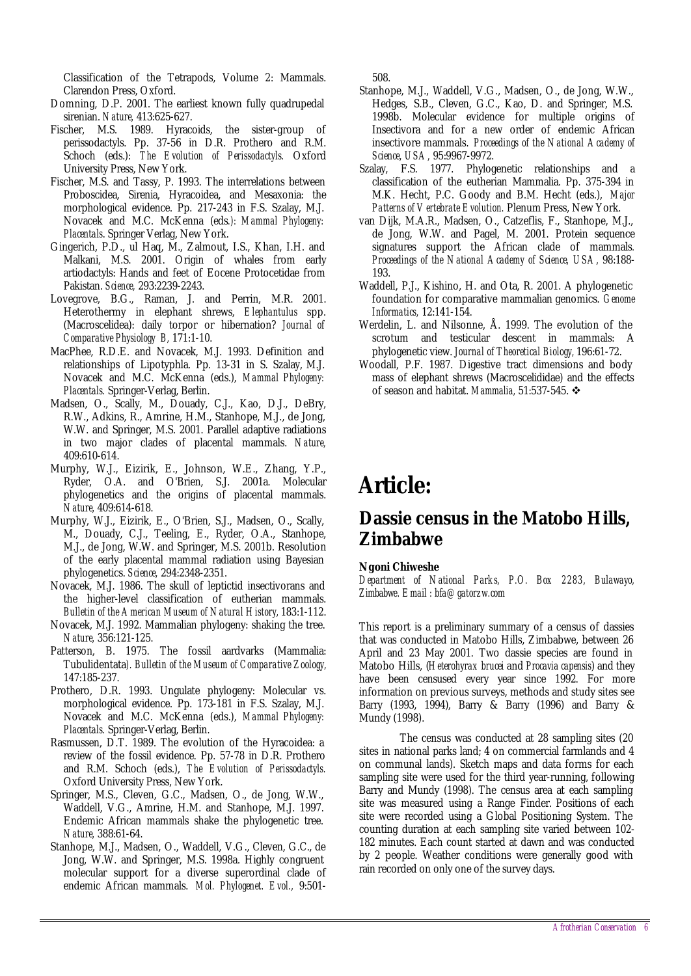Classification of the Tetrapods, Volume 2: Mammals. Clarendon Press, Oxford.

- Domning, D.P. 2001. The earliest known fully quadrupedal sirenian. *Nature,* 413:625-627.
- Fischer, M.S. 1989. Hyracoids, the sister-group of perissodactyls. Pp. 37-56 in D.R. Prothero and R.M. Schoch (eds.): *The Evolution of Perissodactyls.* Oxford University Press, New York.
- Fischer, M.S. and Tassy, P. 1993. The interrelations between Proboscidea, Sirenia, Hyracoidea, and Mesaxonia: the morphological evidence. Pp. 217-243 in F.S. Szalay, M.J. Novacek and M.C. McKenna (eds*.): Mammal Phylogeny: Placentals*. Springer Verlag, New York.
- Gingerich, P.D., ul Haq, M., Zalmout, I.S., Khan, I.H. and Malkani, M.S. 2001. Origin of whales from early artiodactyls: Hands and feet of Eocene Protocetidae from Pakistan. *Science,* 293:2239-2243.
- Lovegrove, B.G., Raman, J. and Perrin, M.R. 2001. Heterothermy in elephant shrews, *Elephantulus* spp. (Macroscelidea): daily torpor or hibernation? *Journal of Comparative Physiology B,* 171:1-10.
- MacPhee, R.D.E. and Novacek, M.J. 1993. Definition and relationships of Lipotyphla. Pp. 13-31 in S. Szalay, M.J. Novacek and M.C. McKenna (eds.), *Mammal Phylogeny: Placentals.* Springer-Verlag, Berlin.
- Madsen, O., Scally, M., Douady, C.J., Kao, D.J., DeBry, R.W., Adkins, R., Amrine, H.M., Stanhope, M.J., de Jong, W.W. and Springer, M.S. 2001. Parallel adaptive radiations in two major clades of placental mammals. *Nature,* 409:610-614.
- Murphy, W.J., Eizirik, E., Johnson, W.E., Zhang, Y.P., Ryder, O.A. and O'Brien, S.J. 2001a. Molecular phylogenetics and the origins of placental mammals. *Nature,* 409:614-618.
- Murphy, W.J., Eizirik, E., O'Brien, S.J., Madsen, O., Scally, M., Douady, C.J., Teeling, E., Ryder, O.A., Stanhope, M.J., de Jong, W.W. and Springer, M.S. 2001b. Resolution of the early placental mammal radiation using Bayesian phylogenetics. *Science,* 294:2348-2351.
- Novacek, M.J. 1986. The skull of leptictid insectivorans and the higher-level classification of eutherian mammals. *Bulletin of the American Museum of Natural History,* 183:1-112.
- Novacek, M.J. 1992. Mammalian phylogeny: shaking the tree. *Nature,* 356:121-125.
- Patterson, B. 1975. The fossil aardvarks (Mammalia: Tubulidentata*). Bulletin of the Museum of Comparative Zoology,* 147:185-237.
- Prothero, D.R. 1993. Ungulate phylogeny: Molecular vs. morphological evidence. Pp. 173-181 in F.S. Szalay, M.J. Novacek and M.C. McKenna (eds.), *Mammal Phylogeny: Placentals.* Springer-Verlag, Berlin.
- Rasmussen, D.T. 1989. The evolution of the Hyracoidea: a review of the fossil evidence. Pp. 57-78 in D.R. Prothero and R.M. Schoch (eds.), *The Evolution of Perissodactyls.* Oxford University Press, New York.
- Springer, M.S., Cleven, G.C., Madsen, O., de Jong, W.W., Waddell, V.G., Amrine, H.M. and Stanhope, M.J. 1997. Endemic African mammals shake the phylogenetic tree. *Nature,* 388:61-64.
- Stanhope, M.J., Madsen, O., Waddell, V.G., Cleven, G.C., de Jong, W.W. and Springer, M.S. 1998a. Highly congruent molecular support for a diverse superordinal clade of endemic African mammals. *Mol. Phylogenet. Evol.,* 9:501-

508.

- Stanhope, M.J., Waddell, V.G., Madsen, O., de Jong, W.W., Hedges, S.B., Cleven, G.C., Kao, D. and Springer, M.S. 1998b. Molecular evidence for multiple origins of Insectivora and for a new order of endemic African insectivore mammals. *Proceedings of the National Academy of Science, USA,* 95:9967-9972.
- Szalay, F.S. 1977. Phylogenetic relationships and a classification of the eutherian Mammalia. Pp. 375-394 in M.K. Hecht, P.C. Goody and B.M. Hecht (eds.), *Major Patterns of Vertebrate Evolution.* Plenum Press, New York.
- van Dijk, M.A.R., Madsen, O., Catzeflis, F., Stanhope, M.J., de Jong, W.W. and Pagel, M. 2001. Protein sequence signatures support the African clade of mammals*. Proceedings of the National Academy of Science, USA,* 98:188- 193.
- Waddell, P.J., Kishino, H. and Ota, R. 2001. A phylogenetic foundation for comparative mammalian genomics. *Genome Informatics,* 12:141-154.
- Werdelin, L. and Nilsonne, Å. 1999. The evolution of the scrotum and testicular descent in mammals: A phylogenetic view. *Journal of Theoretical Biology,* 196:61-72.
- Woodall, P.F. 1987. Digestive tract dimensions and body mass of elephant shrews (Macroscelididae) and the effects of season and habitat. *Mammalia,* 51:537-545. v

## **Article:**

### **Dassie census in the Matobo Hills, Zimbabwe**

#### **Ngoni Chiweshe**

*Department of National Parks, P.O. Box 2283, Bulawayo, Zimbabwe. Email : bfa@gatorzw.com* 

This report is a preliminary summary of a census of dassies that was conducted in Matobo Hills, Zimbabwe, between 26 April and 23 May 2001. Two dassie species are found in Matobo Hills, (*Heterohyrax brucei* and *Procavia capensis*) and they have been censused every year since 1992. For more information on previous surveys, methods and study sites see Barry (1993, 1994), Barry & Barry (1996) and Barry & Mundy (1998).

The census was conducted at 28 sampling sites (20 sites in national parks land; 4 on commercial farmlands and 4 on communal lands). Sketch maps and data forms for each sampling site were used for the third year-running, following Barry and Mundy (1998). The census area at each sampling site was measured using a Range Finder. Positions of each site were recorded using a Global Positioning System. The counting duration at each sampling site varied between 102- 182 minutes. Each count started at dawn and was conducted by 2 people. Weather conditions were generally good with rain recorded on only one of the survey days.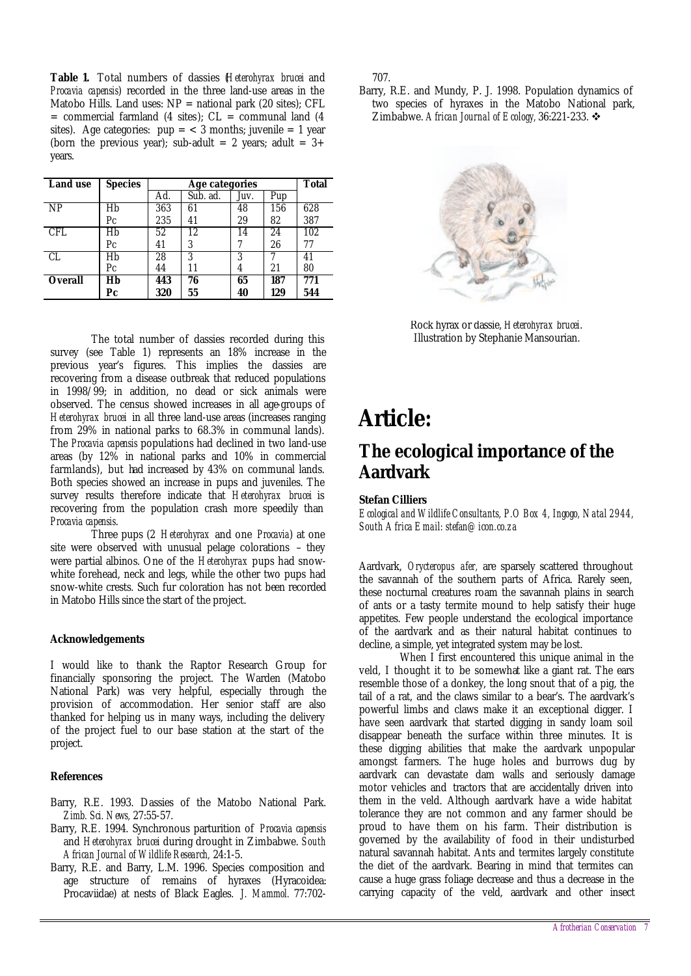**Table 1.** Total numbers of dassies (*Heterohyrax brucei* and *Procavia capensis*) recorded in the three land-use areas in the Matobo Hills. Land uses:  $NP =$  national park (20 sites); CFL  $=$  commercial farmland (4 sites);  $CL =$  communal land (4 sites). Age categories:  $pup = < 3$  months; juvenile  $= 1$  year (born the previous year); sub-adult = 2 years; adult =  $3+$ years.

| <b>Land use</b> | <b>Species</b> | Age categories |          |      |     | <b>Total</b> |
|-----------------|----------------|----------------|----------|------|-----|--------------|
|                 |                | Ad.            | Sub. ad. | Juv. | Pup |              |
| NP              | Hb             | 363            | 61       | 48   | 156 | 628          |
|                 | Pс             | 235            | 41       | 29   | 82  | 387          |
| CFL.            | Hb             | 52             | 12       | 14   | 24  | 102          |
|                 | Pс             | 41             | 3        |      | 26  | 77           |
| CL              | Hb             | 28             | 3        | 3    |     | 41           |
|                 | Pс             | 44             | 11       | 4    | 21  | 80           |
| <b>Overall</b>  | Hb             | 443            | 76       | 65   | 187 | 771          |
|                 | Рc             | 320            | 55       | 40   | 129 | 544          |

The total number of dassies recorded during this survey (see Table 1) represents an 18% increase in the previous year's figures. This implies the dassies are recovering from a disease outbreak that reduced populations in 1998/99; in addition, no dead or sick animals were observed. The census showed increases in all age-groups of *Heterohyrax brucei* in all three land-use areas (increases ranging from 29% in national parks to 68.3% in communal lands). The *Procavia capensis* populations had declined in two land-use areas (by 12% in national parks and 10% in commercial farmlands), but had increased by 43% on communal lands. Both species showed an increase in pups and juveniles. The survey results therefore indicate that *Heterohyrax brucei* is recovering from the population crash more speedily than *Procavia capensis*.

Three pups (2 *Heterohyrax* and one *Procavia*) at one site were observed with unusual pelage colorations – they were partial albinos. One of the *Heterohyrax* pups had snowwhite forehead, neck and legs, while the other two pups had snow-white crests. Such fur coloration has not been recorded in Matobo Hills since the start of the project.

#### **Acknowledgements**

I would like to thank the Raptor Research Group for financially sponsoring the project. The Warden (Matobo National Park) was very helpful, especially through the provision of accommodation. Her senior staff are also thanked for helping us in many ways, including the delivery of the project fuel to our base station at the start of the project.

#### **References**

- Barry, R.E. 1993. Dassies of the Matobo National Park. *Zimb. Sci. News,* 27:55-57.
- Barry, R.E. 1994. Synchronous parturition of *Procavia capensis* and *Heterohyrax brucei* during drought in Zimbabwe. *South African Journal of Wildlife Research,* 24:1-5.
- Barry, R.E. and Barry, L.M. 1996. Species composition and age structure of remains of hyraxes (Hyracoidea: Procaviidae) at nests of Black Eagles. *J. Mammol.* 77:702-

707.

Barry, R.E. and Mundy, P. J. 1998. Population dynamics of two species of hyraxes in the Matobo National park, Zimbabwe. *African Journal of Ecology*, 36:221-233.  $\div$ 



Rock hyrax or dassie, *Heterohyrax brucei*. Illustration by Stephanie Mansourian.

## **Article:**

### **The ecological importance of the Aardvark**

#### **Stefan Cilliers**

*Ecological and Wildlife Consultants, P.O Box 4, Ingogo, Natal 2944, South Africa Email: stefan@icon.co.za*

Aardvark, *Orycteropus afer,* are sparsely scattered throughout the savannah of the southern parts of Africa. Rarely seen, these nocturnal creatures roam the savannah plains in search of ants or a tasty termite mound to help satisfy their huge appetites. Few people understand the ecological importance of the aardvark and as their natural habitat continues to decline, a simple, yet integrated system may be lost.

When I first encountered this unique animal in the veld, I thought it to be somewhat like a giant rat. The ears resemble those of a donkey, the long snout that of a pig, the tail of a rat, and the claws similar to a bear's. The aardvark's powerful limbs and claws make it an exceptional digger. I have seen aardvark that started digging in sandy loam soil disappear beneath the surface within three minutes. It is these digging abilities that make the aardvark unpopular amongst farmers. The huge holes and burrows dug by aardvark can devastate dam walls and seriously damage motor vehicles and tractors that are accidentally driven into them in the veld. Although aardvark have a wide habitat tolerance they are not common and any farmer should be proud to have them on his farm. Their distribution is governed by the availability of food in their undisturbed natural savannah habitat. Ants and termites largely constitute the diet of the aardvark. Bearing in mind that termites can cause a huge grass foliage decrease and thus a decrease in the carrying capacity of the veld, aardvark and other insect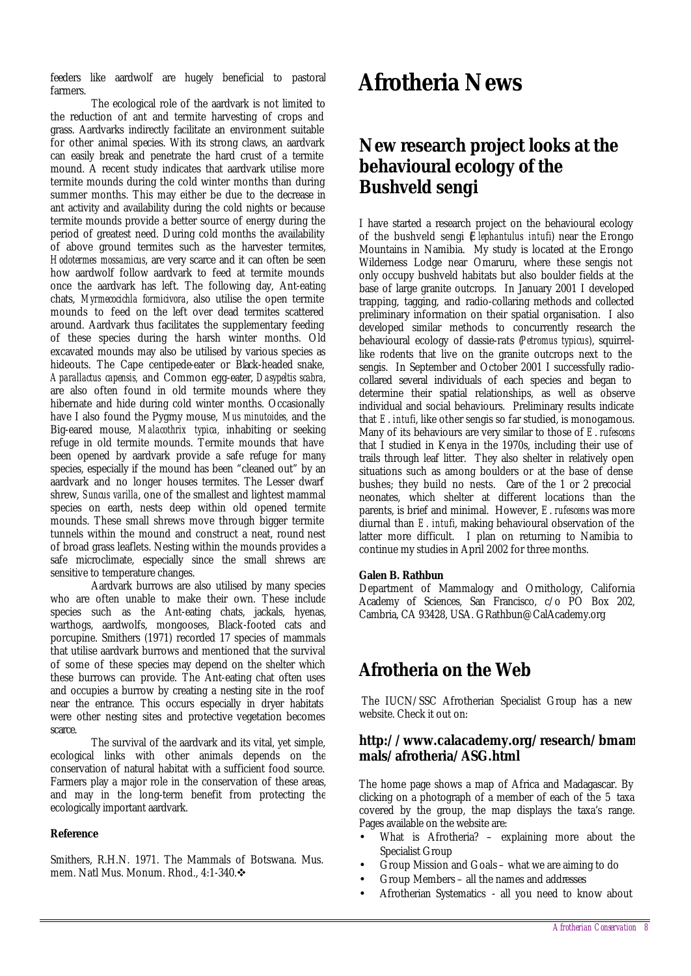feeders like aardwolf are hugely beneficial to pastoral farmers.

The ecological role of the aardvark is not limited to the reduction of ant and termite harvesting of crops and grass. Aardvarks indirectly facilitate an environment suitable for other animal species. With its strong claws, an aardvark can easily break and penetrate the hard crust of a termite mound. A recent study indicates that aardvark utilise more termite mounds during the cold winter months than during summer months. This may either be due to the decrease in ant activity and availability during the cold nights or because termite mounds provide a better source of energy during the period of greatest need. During cold months the availability of above ground termites such as the harvester termites, *Hodotermes mossamicus*, are very scarce and it can often be seen how aardwolf follow aardvark to feed at termite mounds once the aardvark has left. The following day, Ant-eating chats, *Myrmecocichla formicivora*, also utilise the open termite mounds to feed on the left over dead termites scattered around. Aardvark thus facilitates the supplementary feeding of these species during the harsh winter months. Old excavated mounds may also be utilised by various species as hideouts. The Cape centipede-eater or Black-headed snake, *Aparallactus capensis,* and Common egg-eater, *Dasypeltis scabra,* are also often found in old termite mounds where they hibernate and hide during cold winter months. Occasionally have I also found the Pygmy mouse, *Mus minutoides,* and the Big-eared mouse, *Malacothrix typica,* inhabiting or seeking refuge in old termite mounds. Termite mounds that have been opened by aardvark provide a safe refuge for many species, especially if the mound has been "cleaned out" by an aardvark and no longer houses termites. The Lesser dwarf shrew, *Suncus varilla*, one of the smallest and lightest mammal species on earth, nests deep within old opened termite mounds. These small shrews move through bigger termite tunnels within the mound and construct a neat, round nest of broad grass leaflets. Nesting within the mounds provides a safe microclimate, especially since the small shrews are sensitive to temperature changes.

Aardvark burrows are also utilised by many species who are often unable to make their own. These include species such as the Ant-eating chats, jackals, hyenas, warthogs, aardwolfs, mongooses, Black-footed cats and porcupine. Smithers (1971) recorded 17 species of mammals that utilise aardvark burrows and mentioned that the survival of some of these species may depend on the shelter which these burrows can provide. The Ant-eating chat often uses and occupies a burrow by creating a nesting site in the roof near the entrance. This occurs especially in dryer habitats were other nesting sites and protective vegetation becomes scarce.

The survival of the aardvark and its vital, yet simple, ecological links with other animals depends on the conservation of natural habitat with a sufficient food source. Farmers play a major role in the conservation of these areas, and may in the long-term benefit from protecting the ecologically important aardvark.

#### **Reference**

Smithers, R.H.N. 1971. The Mammals of Botswana. Mus. mem. Natl Mus. Monum. Rhod., 4:1-340. ❖

## **Afrotheria News**

### **New research project looks at the behavioural ecology of the Bushveld sengi**

I have started a research project on the behavioural ecology of the bushveld sengi (*Elephantulus intufi*) near the Erongo Mountains in Namibia. My study is located at the Erongo Wilderness Lodge near Omaruru, where these sengis not only occupy bushveld habitats but also boulder fields at the base of large granite outcrops. In January 2001 I developed trapping, tagging, and radio-collaring methods and collected preliminary information on their spatial organisation. I also developed similar methods to concurrently research the behavioural ecology of dassie-rats (*Petromus typicus*), squirrellike rodents that live on the granite outcrops next to the sengis. In September and October 2001 I successfully radiocollared several individuals of each species and began to determine their spatial relationships, as well as observe individual and social behaviours. Preliminary results indicate that *E*. *intufi*, like other sengis so far studied, is monogamous. Many of its behaviours are very similar to those of *E*. *rufescens* that I studied in Kenya in the 1970s, including their use of trails through leaf litter. They also shelter in relatively open situations such as among boulders or at the base of dense bushes; they build no nests. Care of the 1 or 2 precocial neonates, which shelter at different locations than the parents, is brief and minimal. However, *E*. *rufescens* was more diurnal than *E*. *intufi*, making behavioural observation of the latter more difficult. I plan on returning to Namibia to continue my studies in April 2002 for three months.

#### **Galen B. Rathbun**

Department of Mammalogy and Ornithology, California Academy of Sciences, San Francisco, c/o PO Box 202, Cambria, CA 93428, USA. GRathbun@CalAcademy.org

### **Afrotheria on the Web**

 The IUCN/SSC Afrotherian Specialist Group has a new website. Check it out on:

### **http://www.calacademy.org/research/bmam mals/afrotheria/ASG.html**

The home page shows a map of Africa and Madagascar. By clicking on a photograph of a member of each of the 5 taxa covered by the group, the map displays the taxa's range. Pages available on the website are:

- What is Afrotheria? explaining more about the Specialist Group
- Group Mission and Goals what we are aiming to do
- Group Members all the names and addresses
- Afrotherian Systematics all you need to know about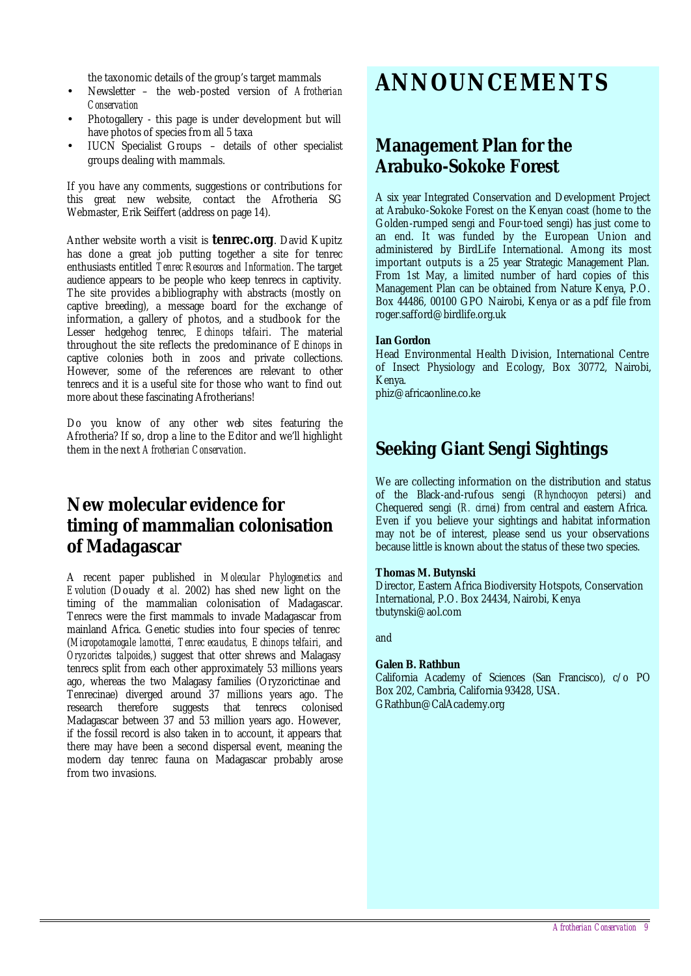the taxonomic details of the group's target mammals

- Newsletter the web-posted version of *Afrotherian Conservation*
- Photogallery this page is under development but will have photos of species from all 5 taxa
- IUCN Specialist Groups details of other specialist groups dealing with mammals.

If you have any comments, suggestions or contributions for this great new website, contact the Afrotheria SG Webmaster, Erik Seiffert (address on page 14).

Anther website worth a visit is **tenrec.org**. David Kupitz has done a great job putting together a site for tenrec enthusiasts entitled *Tenrec Resources and Information*. The target audience appears to be people who keep tenrecs in captivity. The site provides a bibliography with abstracts (mostly on captive breeding), a message board for the exchange of information, a gallery of photos, and a studbook for the Lesser hedgehog tenrec, *Echinops telfairi*. The material throughout the site reflects the predominance of *Echinops* in captive colonies both in zoos and private collections. However, some of the references are relevant to other tenrecs and it is a useful site for those who want to find out more about these fascinating Afrotherians!

Do you know of any other web sites featuring the Afrotheria? If so, drop a line to the Editor and we'll highlight them in the next *Afrotherian Conservation*.

### **New molecular evidence for timing of mammalian colonisation of Madagascar**

A recent paper published in *Molecular Phylogenetics and Evolution* (Douady *et al.* 2002) has shed new light on the timing of the mammalian colonisation of Madagascar. Tenrecs were the first mammals to invade Madagascar from mainland Africa. Genetic studies into four species of tenrec (*Micropotamogale lamottei, Tenrec ecaudatus, Echinops telfairi,* and *Oryzorictes talpoides,*) suggest that otter shrews and Malagasy tenrecs split from each other approximately 53 millions years ago, whereas the two Malagasy families (Oryzorictinae and Tenrecinae) diverged around 37 millions years ago. The therefore suggests that tenrecs colonised Madagascar between 37 and 53 million years ago. However, if the fossil record is also taken in to account, it appears that there may have been a second dispersal event, meaning the modern day tenrec fauna on Madagascar probably arose from two invasions.

## **ANNOUNCEMENTS**

### **Management Plan for the Arabuko-Sokoke Forest**

A six year Integrated Conservation and Development Project at Arabuko-Sokoke Forest on the Kenyan coast (home to the Golden-rumped sengi and Four-toed sengi) has just come to an end. It was funded by the European Union and administered by BirdLife International. Among its most important outputs is a 25 year Strategic Management Plan. From 1st May, a limited number of hard copies of this Management Plan can be obtained from Nature Kenya, P.O. Box 44486, 00100 GPO Nairobi, Kenya or as a pdf file from roger.safford@birdlife.org.uk

#### **Ian Gordon**

Head Environmental Health Division, International Centre of Insect Physiology and Ecology, Box 30772, Nairobi, Kenya.

phiz@africaonline.co.ke

### **Seeking Giant Sengi Sightings**

We are collecting information on the distribution and status of the Black-and-rufous sengi (*Rhynchocyon petersi*) and Chequered sengi (*R. cirnei*) from central and eastern Africa. Even if you believe your sightings and habitat information may not be of interest, please send us your observations because little is known about the status of these two species.

#### **Thomas M. Butynski**

Director, Eastern Africa Biodiversity Hotspots, Conservation International, P.O. Box 24434, Nairobi, Kenya tbutynski@aol.com

and

#### **Galen B. Rathbun**

California Academy of Sciences (San Francisco), c/o PO Box 202, Cambria, California 93428, USA. GRathbun@CalAcademy.org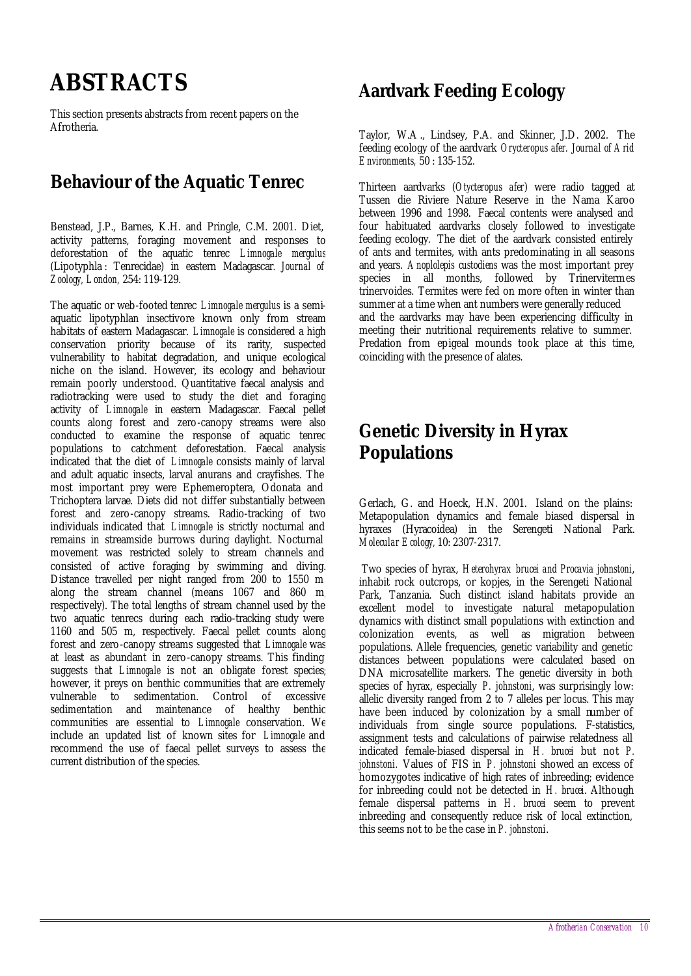## **ABSTRACTS**

This section presents abstracts from recent papers on the Afrotheria.

### **Behaviour of the Aquatic Tenrec**

Benstead, J.P., Barnes, K.H. and Pringle, C.M. 2001. Diet, activity patterns, foraging movement and responses to deforestation of the aquatic tenrec *Limnogale mergulus* (Lipotyphla : Tenrecidae) in eastern Madagascar*. Journal of Zoology, London,* 254: 119-129.

The aquatic or web-footed tenrec *Limnogale mergulus* is a semiaquatic lipotyphlan insectivore known only from stream habitats of eastern Madagascar. *Limnogale* is considered a high conservation priority because of its rarity, suspected vulnerability to habitat degradation, and unique ecological niche on the island. However, its ecology and behaviour remain poorly understood. Quantitative faecal analysis and radiotracking were used to study the diet and foraging activity of *Limnogale* in eastern Madagascar. Faecal pellet counts along forest and zero-canopy streams were also conducted to examine the response of aquatic tenrec populations to catchment deforestation. Faecal analysis indicated that the diet of *Limnogale* consists mainly of larval and adult aquatic insects, larval anurans and crayfishes. The most important prey were Ephemeroptera, Odonata and Trichoptera larvae. Diets did not differ substantially between forest and zero-canopy streams. Radio-tracking of two individuals indicated that *Limnogale* is strictly nocturnal and remains in streamside burrows during daylight. Nocturnal movement was restricted solely to stream channels and consisted of active foraging by swimming and diving. Distance travelled per night ranged from 200 to 1550 m along the stream channel (means 1067 and 860 m, respectively). The total lengths of stream channel used by the two aquatic tenrecs during each radio-tracking study were 1160 and 505 m, respectively. Faecal pellet counts along forest and zero-canopy streams suggested that *Limnogale* was at least as abundant in zero-canopy streams. This finding suggests that *Limnogale* is not an obligate forest species; however, it preys on benthic communities that are extremely vulnerable to sedimentation. Control of excessive sedimentation and maintenance of healthy benthic communities are essential to *Limnogale* conservation. We include an updated list of known sites for *Limnogale* and recommend the use of faecal pellet surveys to assess the current distribution of the species.

### **Aardvark Feeding Ecology**

Taylor, W.A ., Lindsey, P.A. and Skinner, J.D. 2002. The feeding ecology of the aardvark *Orycteropus afer. Journal of Arid Environments,* 50 : 135-152.

Thirteen aardvarks (*Otycteropus afer*) were radio tagged at Tussen die Riviere Nature Reserve in the Nama Karoo between 1996 and 1998. Faecal contents were analysed and four habituated aardvarks closely followed to investigate feeding ecology. The diet of the aardvark consisted entirely of ants and termites, with ants predominating in all seasons and years. *Anoplolepis custodiens* was the most important prey species in all months, followed by Trinervitermes trinervoides. Termites were fed on more often in winter than summer at a time when ant numbers were generally reduced and the aardvarks may have been experiencing difficulty in meeting their nutritional requirements relative to summer. Predation from epigeal mounds took place at this time, coinciding with the presence of alates.

### **Genetic Diversity in Hyrax Populations**

Gerlach, G. and Hoeck, H.N. 2001. Island on the plains: Metapopulation dynamics and female biased dispersal in hyraxes (Hyracoidea) in the Serengeti National Park. *Molecular Ecology,* 10: 2307-2317.

Two species of hyrax, *Heterohyrax brucei and Procavia johnstoni*, inhabit rock outcrops, or kopjes, in the Serengeti National Park, Tanzania. Such distinct island habitats provide an excellent model to investigate natural metapopulation dynamics with distinct small populations with extinction and colonization events, as well as migration between populations. Allele frequencies, genetic variability and genetic distances between populations were calculated based on DNA microsatellite markers. The genetic diversity in both species of hyrax, especially *P. johnstoni*, was surprisingly low: allelic diversity ranged from 2 to 7 alleles per locus. This may have been induced by colonization by a small number of individuals from single source populations. F-statistics, assignment tests and calculations of pairwise relatedness all indicated female-biased dispersal in *H. brucei* but not *P. johnstoni.* Values of FIS in *P. johnstoni* showed an excess of homozygotes indicative of high rates of inbreeding; evidence for inbreeding could not be detected in *H. brucei*. Although female dispersal patterns in *H. brucei* seem to prevent inbreeding and consequently reduce risk of local extinction, this seems not to be the case in *P. johnstoni*.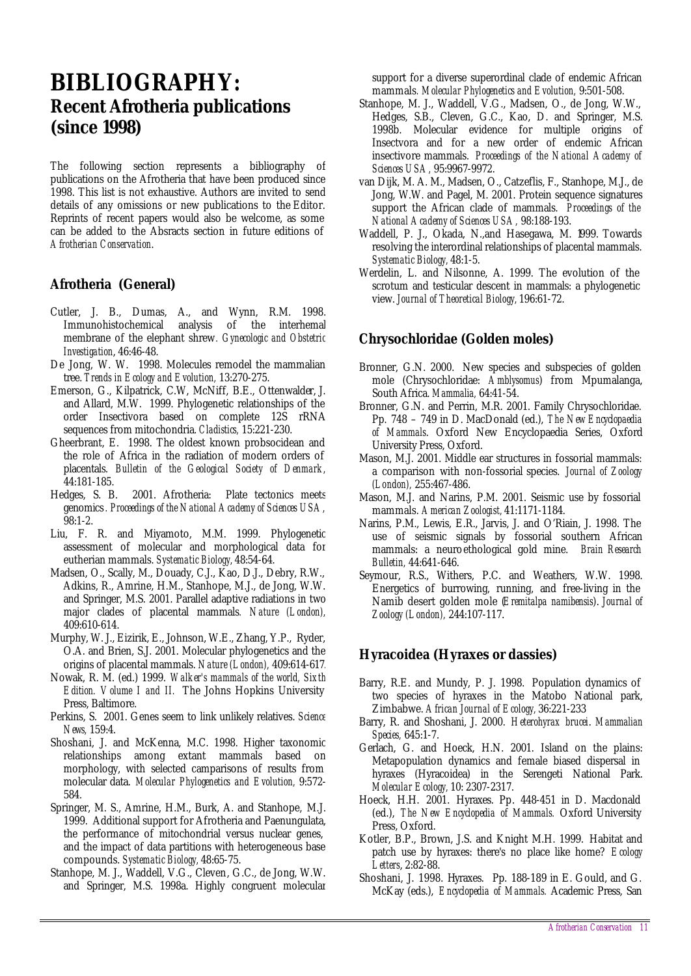## **BIBLIOGRAPHY: Recent Afrotheria publications (since 1998)**

The following section represents a bibliography of publications on the Afrotheria that have been produced since 1998. This list is not exhaustive. Authors are invited to send details of any omissions or new publications to the Editor. Reprints of recent papers would also be welcome, as some can be added to the Absracts section in future editions of *Afrotherian Conservation*.

### **Afrotheria (General)**

- Cutler, J. B., Dumas, A., and Wynn, R.M. 1998. Immunohistochemical analysis of the interhemal membrane of the elephant shrew*. Gynecologic and Obstetric Investigation*, 46:46-48.
- De Jong, W. W. 1998. Molecules remodel the mammalian tree. *Trends in Ecology and Evolution,* 13:270-275.
- Emerson, G., Kilpatrick, C.W, McNiff, B.E., Ottenwalder, J. and Allard, M.W. 1999. Phylogenetic relationships of the order Insectivora based on complete 12S rRNA sequences from mitochondria. *Cladistics,* 15:221-230.
- Gheerbrant, E. 1998. The oldest known probsocidean and the role of Africa in the radiation of modern orders of placentals. *Bulletin of the Geological Society of Denmark,* 44:181-185.
- Hedges, S. B. 2001. Afrotheria: Plate tectonics meets genomics*. Proceedings of the National Academy of Sciences USA,*  98:1-2.
- Liu, F. R. and Miyamoto, M.M. 1999. Phylogenetic assessment of molecular and morphological data for eutherian mammals. *Systematic Biology,* 48:54-64.
- Madsen, O., Scally, M., Douady, C.J., Kao, D.J., Debry, R.W., Adkins, R., Amrine, H.M., Stanhope, M.J., de Jong, W.W. and Springer, M.S. 2001. Parallel adaptive radiations in two major clades of placental mammals*. Nature (London),* 409:610-614.
- Murphy, W. J., Eizirik, E., Johnson, W.E., Zhang, Y.P., Ryder, O.A. and Brien, S.J. 2001. Molecular phylogenetics and the origins of placental mammals. *Nature (London),* 409:614-617.
- Nowak, R. M. (ed.) 1999. *Walker's mammals of the world, Sixth Edition. Volume I and II.* The Johns Hopkins University Press, Baltimore.
- Perkins, S. 2001. Genes seem to link unlikely relatives. *Science News,* 159:4.
- Shoshani, J. and McKenna, M.C. 1998. Higher taxonomic relationships among extant mammals based on morphology, with selected camparisons of results from molecular data. *Molecular Phylogenetics and Evolution,* 9:572- 584.
- Springer, M. S., Amrine, H.M., Burk, A. and Stanhope, M.J. 1999. Additional support for Afrotheria and Paenungulata, the performance of mitochondrial versus nuclear genes, and the impact of data partitions with heterogeneous base compounds. *Systematic Biology,* 48:65-75.
- Stanhope, M. J., Waddell, V.G., Cleven, G.C., de Jong, W.W. and Springer, M.S. 1998a. Highly congruent molecular

support for a diverse superordinal clade of endemic African mammals*. Molecular Phylogenetics and Evolution,* 9:501-508.

- Stanhope, M. J., Waddell, V.G., Madsen, O., de Jong, W.W., Hedges, S.B., Cleven, G.C., Kao, D. and Springer, M.S. 1998b. Molecular evidence for multiple origins of Insectvora and for a new order of endemic African insectivore mammals. *Proceedings of the National Academy of Sciences USA,* 95:9967-9972.
- van Dijk, M. A. M., Madsen, O., Catzeflis, F., Stanhope, M.J., de Jong, W.W. and Pagel, M. 2001. Protein sequence signatures support the African clade of mammals. *Proceedings of the National Academy of Sciences USA,* 98:188-193.
- Waddell, P. J., Okada, N.,and Hasegawa, M. 1999. Towards resolving the interordinal relationships of placental mammals. *Systematic Biology,* 48:1-5.
- Werdelin, L. and Nilsonne, A. 1999. The evolution of the scrotum and testicular descent in mammals: a phylogenetic view. *Journal of Theoretical Biology,* 196:61-72.

### **Chrysochloridae (Golden moles)**

- Bronner, G.N. 2000. New species and subspecies of golden mole (Chrysochloridae: *Amblysomus*) from Mpumalanga, South Africa. *Mammalia,* 64:41-54.
- Bronner, G.N. and Perrin, M.R. 2001. Family Chrysochloridae. Pp. 748 – 749 in D. MacDonald (ed.), *The New Encyclopaedia of Mammals*. Oxford New Encyclopaedia Series, Oxford University Press, Oxford.
- Mason, M.J. 2001. Middle ear structures in fossorial mammals: a comparison with non-fossorial species. *Journal of Zoology (London),* 255:467-486.
- Mason, M.J. and Narins, P.M. 2001. Seismic use by fossorial mammals. *American Zoologist,* 41:1171-1184.
- Narins, P.M., Lewis, E.R., Jarvis, J. and O'Riain, J. 1998. The use of seismic signals by fossorial southern African mammals: a neuroethological gold mine. *Brain Research Bulletin,* 44:641-646.
- Seymour, R.S., Withers, P.C. and Weathers, W.W. 1998. Energetics of burrowing, running, and free-living in the Namib desert golden mole (*Eremitalpa namibensis*). *Journal of Zoology (London),* 244:107-117.

### **Hyracoidea (Hyraxes or dassies)**

- Barry, R.E. and Mundy, P. J. 1998. Population dynamics of two species of hyraxes in the Matobo National park, Zimbabwe. *African Journal of Ecology,* 36:221-233
- Barry, R. and Shoshani, J. 2000. *Heterohyrax brucei*. *Mammalian Species,* 645:1-7.
- Gerlach, G. and Hoeck, H.N. 2001. Island on the plains: Metapopulation dynamics and female biased dispersal in hyraxes (Hyracoidea) in the Serengeti National Park. *Molecular Ecology,* 10: 2307-2317.
- Hoeck, H.H. 2001. Hyraxes. Pp. 448-451 in D. Macdonald (ed.), *The New Encyclopedia of Mammals.* Oxford University Press, Oxford.
- Kotler, B.P., Brown, J.S. and Knight M.H. 1999. Habitat and patch use by hyraxes: there's no place like home? *Ecology Letters*, 2:82-88.
- Shoshani, J. 1998. Hyraxes. Pp. 188-189 in E. Gould, and G. McKay (eds.), *Encyclopedia of Mammals.* Academic Press, San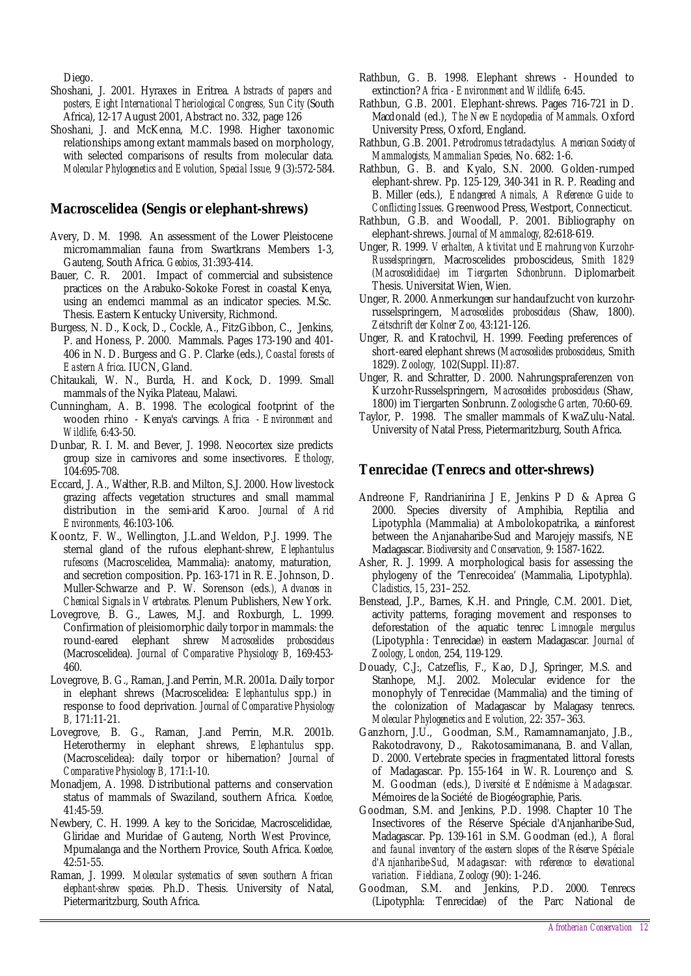Diego.

- Shoshani, J. 2001. Hyraxes in Eritrea*. Abstracts of papers and posters, Eight International Theriological Congress, Sun City* (South Africa), 12-17 August 2001, Abstract no. 332, page 126
- Shoshani, J. and McKenna, M.C. 1998. Higher taxonomic relationships among extant mammals based on morphology, with selected comparisons of results from molecular data*. Molecular Phylogenetics and Evolution, Special Issue,* 9 (3):572-584.

### **Macroscelidea (Sengis or elephant-shrews)**

- Avery, D. M. 1998. An assessment of the Lower Pleistocene micromammalian fauna from Swartkrans Members 1-3, Gauteng, South Africa. *Geobios*, 31:393-414.
- Bauer, C. R. 2001. Impact of commercial and subsistence practices on the Arabuko-Sokoke Forest in coastal Kenya, using an endemci mammal as an indicator species. M.Sc. Thesis. Eastern Kentucky University, Richmond.
- Burgess, N. D., Kock, D., Cockle, A., FitzGibbon, C., Jenkins, P. and Honess, P. 2000. Mammals. Pages 173-190 and 401- 406 in N. D. Burgess and G. P. Clarke (eds.), *Coastal forests of Eastern Africa*. IUCN, Gland.
- Chitaukali, W. N., Burda, H. and Kock, D. 1999. Small mammals of the Nyika Plateau, Malawi.
- Cunningham, A. B. 1998. The ecological footprint of the wooden rhino - Kenya's carvings*. Africa - Environment and Wildlife,* 6:43-50.
- Dunbar, R. I. M. and Bever, J. 1998. Neocortex size predicts group size in carnivores and some insectivores. *Ethology,* 104:695-708.
- Eccard, J. A., Walther, R.B. and Milton, S.J. 2000. How livestock grazing affects vegetation structures and small mammal distribution in the semi-arid Karoo*. Journal of Arid Environments,* 46:103-106.
- Koontz, F. W., Wellington, J.L.and Weldon, P.J. 1999. The sternal gland of the rufous elephant-shrew, *Elephantulus rufescens* (Macroscelidea, Mammalia): anatomy, maturation, and secretion composition. Pp. 163-171 in R. E. Johnson, D. Muller-Schwarze and P. W. Sorenson (eds*.), Advances in Chemical Signals in Vertebrates.* Plenum Publishers, New York.
- Lovegrove, B. G., Lawes, M.J. and Roxburgh, L. 1999. Confirmation of pleisiomorphic daily torpor in mammals: the round-eared elephant shrew *Macroscelides proboscideus* (Macroscelidea). *Journal of Comparative Physiology B,* 169:453- 460.
- Lovegrove, B. G., Raman, J.and Perrin, M.R. 2001a. Daily torpor in elephant shrews (Macroscelidea: *Elephantulus* spp.) in response to food deprivation*. Journal of Comparative Physiology B,* 171:11-21.
- Lovegrove, B. G., Raman, J.and Perrin, M.R. 2001b. Heterothermy in elephant shrews, *Elephantulus* spp. (Macroscelidea): daily torpor or hibernation*? Journal of Comparative Physiology B,* 171:1-10.
- Monadjem, A. 1998. Distributional patterns and conservation status of mammals of Swaziland, southern Africa. *Koedoe,* 41:45-59.
- Newbery, C. H. 1999. A key to the Soricidae, Macroscelididae, Gliridae and Muridae of Gauteng, North West Province, Mpumalanga and the Northern Provice, South Africa. *Koedoe,* 42:51-55.
- Raman, J. 1999. *Molecular systematics of seven southern African elephant-shrew species.* Ph.D. Thesis. University of Natal, Pietermaritzburg, South Africa.
- Rathbun, G. B. 1998. Elephant shrews Hounded to extinction? *Africa - Environment and Wildlife,* 6:45.
- Rathbun, G.B. 2001. Elephant-shrews. Pages 716-721 in D. Macdonald (ed.), *The New Encyclopedia of Mammals*. Oxford University Press, Oxford, England.
- Rathbun, G.B. 2001. *Petrodromus tetradactylus. American Society of Mammalogists, Mammalian Species,* No. 682: 1-6.
- Rathbun, G. B. and Kyalo, S.N. 2000. Golden-rumped elephant-shrew. Pp. 125-129, 340-341 in R. P. Reading and B. Miller (eds.), *Endangered Animals, A Reference Guide to Conflicting Issues.* Greenwood Press, Westport, Connecticut.
- Rathbun, G.B. and Woodall, P. 2001. Bibliography on elephant-shrews. *Journal of Mammalogy,* 82:618-619.
- Unger, R. 1999. *Verhalten, Aktivitat und Ernahrung von Kurzohr-Russelspringern,* Macroscelides proboscideus, *Smith 1829 (Macroscelididae) im Tiergarten Schonbrunn*. Diplomarbeit Thesis. Universitat Wien, Wien.
- Unger, R. 2000. Anmerkungen sur handaufzucht von kurzohrrusselspringern, *Macroscelides proboscideus* (Shaw, 1800). *Zeitschrift der Kolner Zoo,* 43:121-126.
- Unger, R. and Kratochvil, H. 1999. Feeding preferences of short-eared elephant shrews (*Macroscelides proboscideus*, Smith 1829). *Zoology,* 102(Suppl. II):87.
- Unger, R. and Schratter, D. 2000. Nahrungspraferenzen von Kurzohr-Russelspringern, *Macroscelides proboscideus* (Shaw, 1800) im Tiergarten Sonbrunn. *Zoologische Garten,* 70:60-69.
- Taylor, P. 1998. The smaller mammals of KwaZulu-Natal. University of Natal Press, Pietermaritzburg, South Africa.

### **Tenrecidae (Tenrecs and otter-shrews)**

- Andreone F, Randrianirina J E, Jenkins P D & Aprea G 2000. Species diversity of Amphibia, Reptilia and Lipotyphla (Mammalia) at Ambolokopatrika, a rainforest between the Anjanaharibe-Sud and Marojejy massifs, NE Madagascar. *Biodiversity and Conservation,* 9: 1587-1622.
- Asher, R. J. 1999. A morphological basis for assessing the phylogeny of the 'Tenrecoidea' (Mammalia, Lipotyphla). *Cladistics*, *15*, 231–252.
- Benstead, J.P., Barnes, K.H. and Pringle, C.M. 2001. Diet, activity patterns, foraging movement and responses to deforestation of the aquatic tenrec *Limnogale mergulus* (Lipotyphla : Tenrecidae) in eastern Madagascar*. Journal of Zoology*, *London,* 254, 119-129.
- Douady, C.J:, Catzeflis, F., Kao, D.J, Springer, M.S. and Stanhope, M.J. 2002. Molecular evidence for the monophyly of Tenrecidae (Mammalia) and the timing of the colonization of Madagascar by Malagasy tenrecs. *Molecular Phylogenetics and Evolution,* 22: 357–363.
- Ganzhorn, J.U., Goodman, S.M., Ramamnamanjato, J.B., Rakotodravony, D., Rakotosamimanana, B. and Vallan, D. 2000. Vertebrate species in fragmentated littoral forests of Madagascar. Pp. 155-164 in W. R. Lourenço and S. M. Goodman (eds.), *Diversité et Endémisme à Madagascar.*  Mémoires de la Société de Biogéographie, Paris.
- Goodman, S.M. and Jenkins, P.D. 1998. Chapter 10 The Insectivores of the Réserve Spéciale d'Anjanharibe-Sud, Madagascar. Pp. 139-161 in S.M. Goodman (ed.), *A floral and faunal inventory of the eastern slopes of the Réserve Spéciale d'Anjanharibe-Sud, Madagascar: with reference to elevational variation*. *Fieldiana, Zoology* (90): 1-246.
- Goodman, S.M. and Jenkins, P.D. 2000. Tenrecs (Lipotyphla: Tenrecidae) of the Parc National de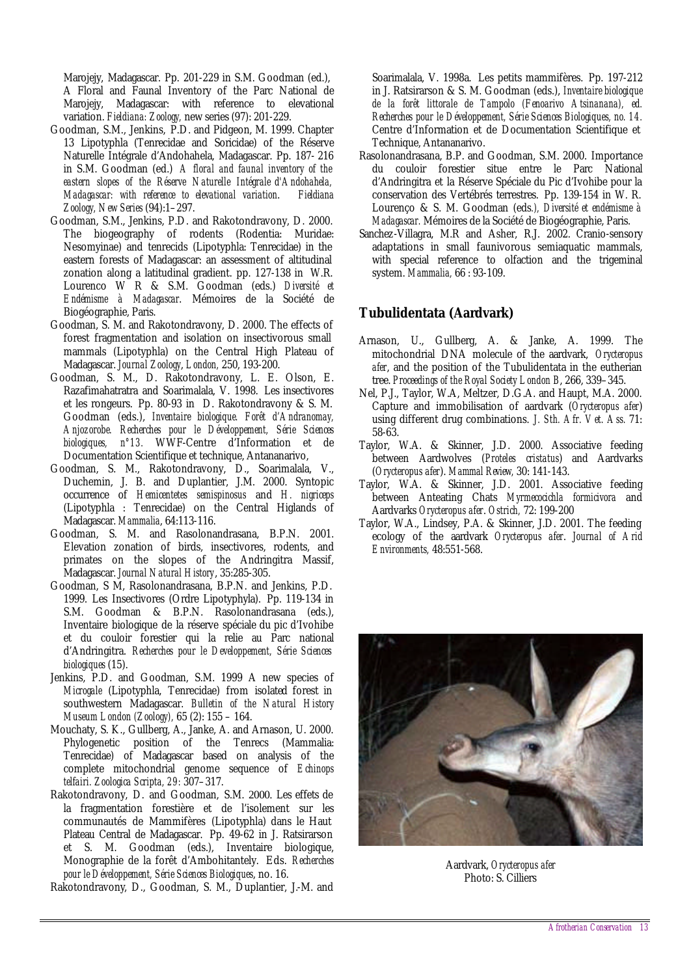Marojejy, Madagascar. Pp. 201-229 in S.M. Goodman (ed.), A Floral and Faunal Inventory of the Parc National de Marojejy, Madagascar: with reference to elevational variation. *Fieldiana: Zoology,* new series (97): 201-229.

- Goodman, S.M., Jenkins, P.D. and Pidgeon, M. 1999. Chapter 13 Lipotyphla (Tenrecidae and Soricidae) of the Réserve Naturelle Intégrale d'Andohahela, Madagascar. Pp. 187- 216 in S.M. Goodman (ed.) *A floral and faunal inventory of the eastern slopes of the Réserve Naturelle Intégrale d'Andohahela, Madagascar: with reference to elevational variation*. *Fieldiana Zoology, New Series* (94):1–297.
- Goodman, S.M., Jenkins, P.D. and Rakotondravony, D. 2000. The biogeography of rodents (Rodentia: Muridae: Nesomyinae) and tenrecids (Lipotyphla: Tenrecidae) in the eastern forests of Madagascar: an assessment of altitudinal zonation along a latitudinal gradient. pp. 127-138 in W.R. Lourenco W R & S.M. Goodman (eds.) *Diversité et Endémisme à Madagascar*. Mémoires de la Société de Biogéographie, Paris.
- Goodman, S. M. and Rakotondravony, D. 2000. The effects of forest fragmentation and isolation on insectivorous small mammals (Lipotyphla) on the Central High Plateau of Madagascar. *Journal Zoology*, *London,* 250, 193-200.
- Goodman, S. M., D. Rakotondravony, L. E. Olson, E. Razafimahatratra and Soarimalala, V. 1998. Les insectivores et les rongeurs. Pp. 80-93 in D. Rakotondravony & S. M. Goodman (eds.), *Inventaire biologique. Forêt d'Andranomay, Anjozorobe. Recherches pour le Développement, Série Sciences biologiques, n°13.* WWF-Centre d'Information et de Documentation Scientifique et technique, Antananarivo,
- Goodman, S. M., Rakotondravony, D., Soarimalala, V., Duchemin, J. B. and Duplantier, J.M. 2000. Syntopic occurrence of *Hemicentetes semispinosus* and *H. nigriceps* (Lipotyphla : Tenrecidae) on the Central Higlands of Madagascar. *Mammalia*, 64:113-116.
- Goodman, S. M. and Rasolonandrasana, B.P.N. 2001. Elevation zonation of birds, insectivores, rodents, and primates on the slopes of the Andringitra Massif, Madagascar. *Journal Natural History*, 35:285-305.
- Goodman, S M, Rasolonandrasana, B.P.N. and Jenkins, P.D. 1999. Les Insectivores (Ordre Lipotyphyla). Pp. 119-134 in S.M. Goodman & B.P.N. Rasolonandrasana (eds.), Inventaire biologique de la réserve spéciale du pic d'Ivohibe et du couloir forestier qui la relie au Parc national d'Andringitra. *Recherches pour le Developpement, Série Sciences biologiques* (15).
- Jenkins, P.D. and Goodman, S.M. 1999 A new species of *Microgale* (Lipotyphla, Tenrecidae) from isolated forest in southwestern Madagascar. *Bulletin of the Natural History Museum London (Zoology),* 65 (2): 155 – 164.
- Mouchaty, S. K., Gullberg, A., Janke, A. and Arnason, U. 2000. Phylogenetic position of the Tenrecs (Mammalia: Tenrecidae) of Madagascar based on analysis of the complete mitochondrial genome sequence of *Echinops telfairi. Zoologica Scripta, 29:* 307–317.
- Rakotondravony, D. and Goodman, S.M. 2000. Les effets de la fragmentation forestière et de l'isolement sur les communautés de Mammifères (Lipotyphla) dans le Haut Plateau Central de Madagascar. Pp. 49-62 in J. Ratsirarson et S. M. Goodman (eds.), Inventaire biologique, Monographie de la forêt d'Ambohitantely. Eds. *Recherches pour le Développement, Série Sciences Biologiques*, no. 16.
- Rakotondravony, D., Goodman, S. M., Duplantier, J.-M. and

Soarimalala, V. 1998a. Les petits mammifères. Pp. 197-212 in J. Ratsirarson & S. M. Goodman (eds.), *Inventaire biologique de la forêt littorale de Tampolo (Fenoarivo Atsinanana), ed. Recherches pour le Développement, Série Sciences Biologiques, no. 14.* Centre d'Information et de Documentation Scientifique et Technique, Antananarivo.

- Rasolonandrasana, B.P. and Goodman, S.M. 2000. Importance du couloir forestier situe entre le Parc National d'Andringitra et la Réserve Spéciale du Pic d'Ivohibe pour la conservation des Vertébrés terrestres. Pp. 139-154 in W. R. Lourenço & S. M. Goodman (eds*.), Diversité et endémisme à Madagascar.* Mémoires de la Société de Biogéographie, Paris.
- Sanchez-Villagra, M.R and Asher, R.J. 2002. Cranio-sensory adaptations in small faunivorous semiaquatic mammals, with special reference to olfaction and the trigeminal system. *Mammalia,* 66 : 93-109.

### **Tubulidentata (Aardvark)**

- Arnason, U., Gullberg, A. & Janke, A. 1999. The mitochondrial DNA molecule of the aardvark, *Orycteropus afer*, and the position of the Tubulidentata in the eutherian tree. *Proceedings of the Royal Society London B*, 266, 339–345.
- Nel, P.J., Taylor, W.A, Meltzer, D.G.A. and Haupt, M.A. 2000. Capture and immobilisation of aardvark (*Orycteropus afer*) using different drug combinations. *J. Sth. Afr. Vet. Ass.* 71: 58-63.
- Taylor, W.A. & Skinner, J.D. 2000. Associative feeding between Aardwolves (*Proteles cristatus*) and Aardvarks (*Orycteropus afer*). *Mammal Review,* 30: 141-143.
- Taylor, W.A. & Skinner, J.D. 2001. Associative feeding between Anteating Chats *Myrmecocichla formicivora* and Aardvarks *Orycteropus afer*. *Ostrich,* 72: 199-200
- Taylor, W.A., Lindsey, P.A. & Skinner, J.D. 2001. The feeding ecology of the aardvark *Orycteropus afer*. *Journal of Arid Environments,* 48:551-568.



Aardvark, *Orycteropus afer* Photo: S. Cilliers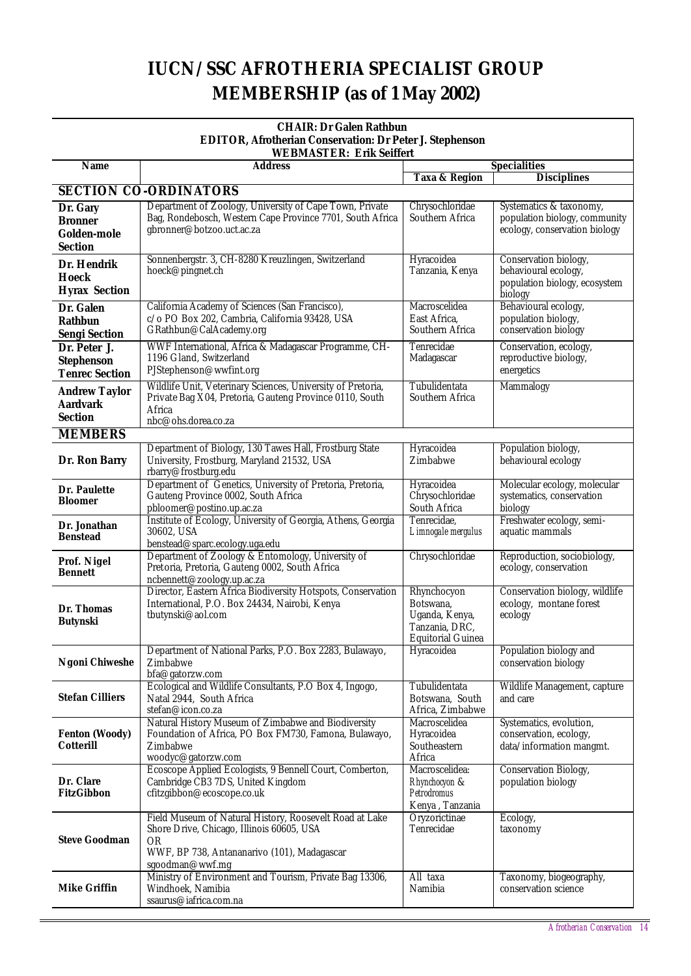## **IUCN/SSC AFROTHERIA SPECIALIST GROUP MEMBERSHIP (as of 1 May 2002)**

| <b>CHAIR: Dr Galen Rathbun</b>                                  |                                                                                                                      |                                    |                                                          |  |  |  |  |  |
|-----------------------------------------------------------------|----------------------------------------------------------------------------------------------------------------------|------------------------------------|----------------------------------------------------------|--|--|--|--|--|
| <b>EDITOR, Afrotherian Conservation: Dr Peter J. Stephenson</b> |                                                                                                                      |                                    |                                                          |  |  |  |  |  |
|                                                                 | <b>WEBMASTER: Erik Seiffert</b>                                                                                      |                                    |                                                          |  |  |  |  |  |
|                                                                 | <b>Name</b><br><b>Address</b>                                                                                        |                                    | <b>Specialities</b>                                      |  |  |  |  |  |
|                                                                 | <b>SECTION CO-ORDINATORS</b>                                                                                         | <b>Taxa &amp; Region</b>           | <b>Disciplines</b>                                       |  |  |  |  |  |
|                                                                 |                                                                                                                      |                                    |                                                          |  |  |  |  |  |
| Dr. Gary                                                        | Department of Zoology, University of Cape Town, Private<br>Bag, Rondebosch, Western Cape Province 7701, South Africa | Chrysochloridae<br>Southern Africa | Systematics & taxonomy,<br>population biology, community |  |  |  |  |  |
| <b>Bronner</b>                                                  | gbronner@botzoo.uct.ac.za                                                                                            |                                    | ecology, conservation biology                            |  |  |  |  |  |
| Golden-mole                                                     |                                                                                                                      |                                    |                                                          |  |  |  |  |  |
| <b>Section</b>                                                  | Sonnenbergstr. 3, CH-8280 Kreuzlingen, Switzerland                                                                   | Hyracoidea                         |                                                          |  |  |  |  |  |
| Dr. Hendrik                                                     | hoeck@pingnet.ch                                                                                                     | Tanzania, Kenya                    | Conservation biology,<br>behavioural ecology,            |  |  |  |  |  |
| <b>Hoeck</b>                                                    |                                                                                                                      |                                    | population biology, ecosystem                            |  |  |  |  |  |
| <b>Hyrax Section</b>                                            |                                                                                                                      |                                    | biology                                                  |  |  |  |  |  |
| Dr. Galen                                                       | California Academy of Sciences (San Francisco),                                                                      | Macroscelidea                      | Behavioural ecology,                                     |  |  |  |  |  |
| <b>Rathbun</b>                                                  | c/o PO Box 202, Cambria, California 93428, USA                                                                       | East Africa,                       | population biology,                                      |  |  |  |  |  |
| <b>Sengi Section</b>                                            | GRathbun@CalAcademy.org                                                                                              | Southern Africa                    | conservation biology                                     |  |  |  |  |  |
| Dr. Peter J.                                                    | WWF International, Africa & Madagascar Programme, CH-                                                                | Tenrecidae                         | Conservation, ecology,                                   |  |  |  |  |  |
| <b>Stephenson</b>                                               | 1196 Gland, Switzerland                                                                                              | Madagascar                         | reproductive biology,                                    |  |  |  |  |  |
| <b>Tenrec Section</b>                                           | PJStephenson@wwfint.org                                                                                              |                                    | energetics                                               |  |  |  |  |  |
| <b>Andrew Taylor</b>                                            | Wildlife Unit, Veterinary Sciences, University of Pretoria,                                                          | Tubulidentata                      | Mammalogy                                                |  |  |  |  |  |
| <b>Aardvark</b>                                                 | Private Bag X04, Pretoria, Gauteng Province 0110, South                                                              | Southern Africa                    |                                                          |  |  |  |  |  |
| <b>Section</b>                                                  | Africa<br>nbc@ohs.dorea.co.za                                                                                        |                                    |                                                          |  |  |  |  |  |
| <b>MEMBERS</b>                                                  |                                                                                                                      |                                    |                                                          |  |  |  |  |  |
|                                                                 | Department of Biology, 130 Tawes Hall, Frostburg State                                                               | Hyracoidea                         | Population biology,                                      |  |  |  |  |  |
| Dr. Ron Barry                                                   | University, Frostburg, Maryland 21532, USA                                                                           | Zimbabwe                           | behavioural ecology                                      |  |  |  |  |  |
|                                                                 | rbarry@frostburg.edu                                                                                                 |                                    |                                                          |  |  |  |  |  |
|                                                                 | Department of Genetics, University of Pretoria, Pretoria,                                                            | Hyracoidea                         | Molecular ecology, molecular                             |  |  |  |  |  |
| Dr. Paulette<br><b>Bloomer</b>                                  | Gauteng Province 0002, South Africa                                                                                  | Chrysochloridae                    | systematics, conservation                                |  |  |  |  |  |
|                                                                 | pbloomer@postino.up.ac.za                                                                                            | South Africa                       | biology                                                  |  |  |  |  |  |
| Dr. Jonathan                                                    | Institute of Ecology, University of Georgia, Athens, Georgia                                                         | Tenrecidae,                        | Freshwater ecology, semi-                                |  |  |  |  |  |
| <b>Benstead</b>                                                 | 30602, USA                                                                                                           | Limnogale mergulus                 | aquatic mammals                                          |  |  |  |  |  |
|                                                                 | benstead@sparc.ecology.uga.edu<br>Department of Zoology & Entomology, University of                                  | Chrysochloridae                    | Reproduction, sociobiology,                              |  |  |  |  |  |
| Prof. Nigel                                                     | Pretoria, Pretoria, Gauteng 0002, South Africa                                                                       |                                    | ecology, conservation                                    |  |  |  |  |  |
| <b>Bennett</b>                                                  | ncbennett@zoology.up.ac.za                                                                                           |                                    |                                                          |  |  |  |  |  |
|                                                                 | Director, Eastern Africa Biodiversity Hotspots, Conservation                                                         | Rhynchocyon                        | Conservation biology, wildlife                           |  |  |  |  |  |
| Dr. Thomas                                                      | International, P.O. Box 24434, Nairobi, Kenya                                                                        | Botswana,                          | ecology, montane forest                                  |  |  |  |  |  |
| <b>Butynski</b>                                                 | tbutynski@aol.com                                                                                                    | Uganda, Kenya,                     | ecology                                                  |  |  |  |  |  |
|                                                                 |                                                                                                                      | Tanzania, DRC,                     |                                                          |  |  |  |  |  |
|                                                                 | Department of National Parks, P.O. Box 2283, Bulawayo,                                                               | Equitorial Guinea<br>Hyracoidea    | Population biology and                                   |  |  |  |  |  |
| <b>Ngoni Chiweshe</b>                                           | Zimbabwe                                                                                                             |                                    | conservation biology                                     |  |  |  |  |  |
|                                                                 | bfa@gatorzw.com                                                                                                      |                                    |                                                          |  |  |  |  |  |
|                                                                 | Ecological and Wildlife Consultants, P.O Box 4, Ingogo,                                                              | Tubulidentata                      | Wildlife Management, capture                             |  |  |  |  |  |
| <b>Stefan Cilliers</b>                                          | Natal 2944, South Africa                                                                                             | Botswana, South                    | and care                                                 |  |  |  |  |  |
|                                                                 | stefan@icon.co.za                                                                                                    | Africa, Zimbabwe                   |                                                          |  |  |  |  |  |
|                                                                 | Natural History Museum of Zimbabwe and Biodiversity                                                                  | Macroscelidea                      | Systematics, evolution,                                  |  |  |  |  |  |
| <b>Fenton (Woody)</b><br><b>Cotterill</b>                       | Foundation of Africa, PO Box FM730, Famona, Bulawayo,<br>Zimbabwe                                                    | Hyracoidea<br>Southeastern         | conservation, ecology,<br>data/information mangmt.       |  |  |  |  |  |
|                                                                 | woodyc@gatorzw.com                                                                                                   | Africa                             |                                                          |  |  |  |  |  |
|                                                                 | Ecoscope Applied Ecologists, 9 Bennell Court, Comberton,                                                             | Macroscelidea:                     | Conservation Biology,                                    |  |  |  |  |  |
| Dr. Clare                                                       | Cambridge CB3 7DS, United Kingdom                                                                                    | Rhynchocyon &                      | population biology                                       |  |  |  |  |  |
| <b>FitzGibbon</b>                                               | cfitzgibbon@ecoscope.co.uk                                                                                           | Petrodromus                        |                                                          |  |  |  |  |  |
|                                                                 |                                                                                                                      | Kenya, Tanzania                    |                                                          |  |  |  |  |  |
|                                                                 | Field Museum of Natural History, Roosevelt Road at Lake                                                              | Oryzorictinae<br>Tenrecidae        | Ecology,                                                 |  |  |  |  |  |
| <b>Steve Goodman</b>                                            | Shore Drive, Chicago, Illinois 60605, USA<br><b>OR</b>                                                               |                                    | taxonomy                                                 |  |  |  |  |  |
|                                                                 | WWF, BP 738, Antananarivo (101), Madagascar                                                                          |                                    |                                                          |  |  |  |  |  |
|                                                                 | sgoodman@wwf.mg                                                                                                      |                                    |                                                          |  |  |  |  |  |
|                                                                 | Ministry of Environment and Tourism, Private Bag 13306,                                                              | All taxa                           | Taxonomy, biogeography,                                  |  |  |  |  |  |
| <b>Mike Griffin</b>                                             | Windhoek, Namibia                                                                                                    | Namibia                            | conservation science                                     |  |  |  |  |  |
|                                                                 | ssaurus@iafrica.com.na                                                                                               |                                    |                                                          |  |  |  |  |  |